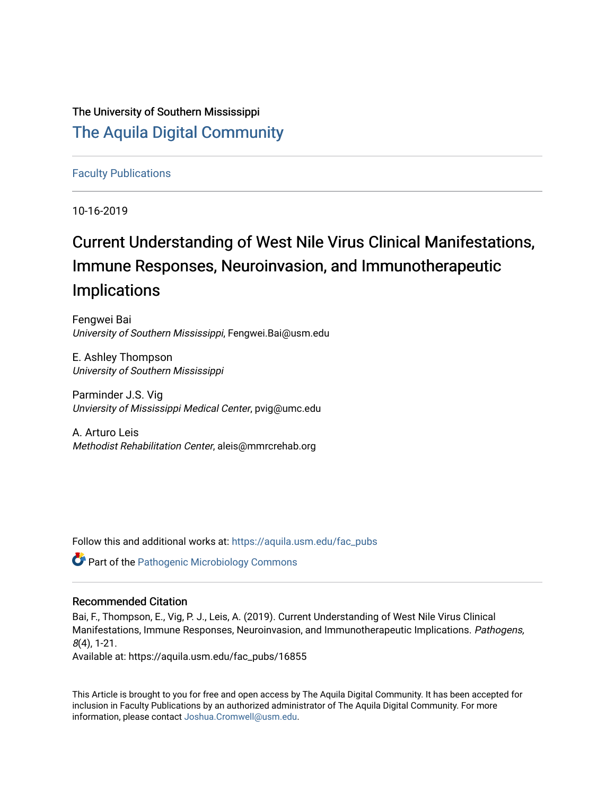## The University of Southern Mississippi [The Aquila Digital Community](https://aquila.usm.edu/)

## [Faculty Publications](https://aquila.usm.edu/fac_pubs)

10-16-2019

# Current Understanding of West Nile Virus Clinical Manifestations, Immune Responses, Neuroinvasion, and Immunotherapeutic Implications

Fengwei Bai University of Southern Mississippi, Fengwei.Bai@usm.edu

E. Ashley Thompson University of Southern Mississippi

Parminder J.S. Vig Unviersity of Mississippi Medical Center, pvig@umc.edu

A. Arturo Leis Methodist Rehabilitation Center, aleis@mmrcrehab.org

Follow this and additional works at: [https://aquila.usm.edu/fac\\_pubs](https://aquila.usm.edu/fac_pubs?utm_source=aquila.usm.edu%2Ffac_pubs%2F16855&utm_medium=PDF&utm_campaign=PDFCoverPages) 

**Part of the [Pathogenic Microbiology Commons](https://network.bepress.com/hgg/discipline/52?utm_source=aquila.usm.edu%2Ffac_pubs%2F16855&utm_medium=PDF&utm_campaign=PDFCoverPages)** 

### Recommended Citation

Bai, F., Thompson, E., Vig, P. J., Leis, A. (2019). Current Understanding of West Nile Virus Clinical Manifestations, Immune Responses, Neuroinvasion, and Immunotherapeutic Implications. Pathogens, 8(4), 1-21.

Available at: https://aquila.usm.edu/fac\_pubs/16855

This Article is brought to you for free and open access by The Aquila Digital Community. It has been accepted for inclusion in Faculty Publications by an authorized administrator of The Aquila Digital Community. For more information, please contact [Joshua.Cromwell@usm.edu.](mailto:Joshua.Cromwell@usm.edu)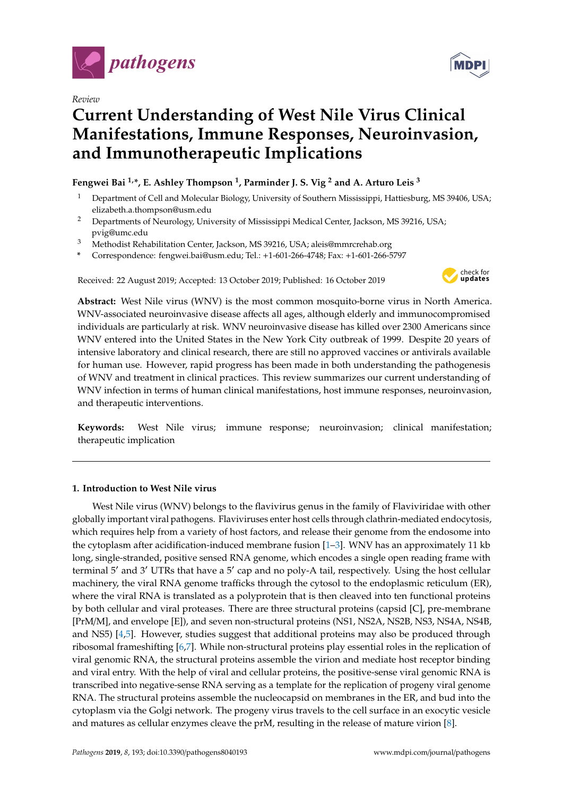

*Review*

## **Current Understanding of West Nile Virus Clinical Manifestations, Immune Responses, Neuroinvasion, and Immunotherapeutic Implications**

## **Fengwei Bai 1,\*, E. Ashley Thompson <sup>1</sup> , Parminder J. S. Vig <sup>2</sup> and A. Arturo Leis <sup>3</sup>**

- <sup>1</sup> Department of Cell and Molecular Biology, University of Southern Mississippi, Hattiesburg, MS 39406, USA; elizabeth.a.thompson@usm.edu
- <sup>2</sup> Departments of Neurology, University of Mississippi Medical Center, Jackson, MS 39216, USA; pvig@umc.edu
- <sup>3</sup> Methodist Rehabilitation Center, Jackson, MS 39216, USA; aleis@mmrcrehab.org
- **\*** Correspondence: fengwei.bai@usm.edu; Tel.: +1-601-266-4748; Fax: +1-601-266-5797

Received: 22 August 2019; Accepted: 13 October 2019; Published: 16 October 2019



**Abstract:** West Nile virus (WNV) is the most common mosquito-borne virus in North America. WNV-associated neuroinvasive disease affects all ages, although elderly and immunocompromised individuals are particularly at risk. WNV neuroinvasive disease has killed over 2300 Americans since WNV entered into the United States in the New York City outbreak of 1999. Despite 20 years of intensive laboratory and clinical research, there are still no approved vaccines or antivirals available for human use. However, rapid progress has been made in both understanding the pathogenesis of WNV and treatment in clinical practices. This review summarizes our current understanding of WNV infection in terms of human clinical manifestations, host immune responses, neuroinvasion, and therapeutic interventions.

**Keywords:** West Nile virus; immune response; neuroinvasion; clinical manifestation; therapeutic implication

### **1. Introduction to West Nile virus**

West Nile virus (WNV) belongs to the flavivirus genus in the family of Flaviviridae with other globally important viral pathogens. Flaviviruses enter host cells through clathrin-mediated endocytosis, which requires help from a variety of host factors, and release their genome from the endosome into the cytoplasm after acidification-induced membrane fusion [\[1](#page-13-0)[–3\]](#page-13-1). WNV has an approximately 11 kb long, single-stranded, positive sensed RNA genome, which encodes a single open reading frame with terminal 5' and 3' UTRs that have a 5' cap and no poly-A tail, respectively. Using the host cellular machinery, the viral RNA genome trafficks through the cytosol to the endoplasmic reticulum (ER), where the viral RNA is translated as a polyprotein that is then cleaved into ten functional proteins by both cellular and viral proteases. There are three structural proteins (capsid [C], pre-membrane [PrM/M], and envelope [E]), and seven non-structural proteins (NS1, NS2A, NS2B, NS3, NS4A, NS4B, and NS5) [\[4,](#page-13-2)[5\]](#page-13-3). However, studies suggest that additional proteins may also be produced through ribosomal frameshifting [\[6](#page-13-4)[,7\]](#page-13-5). While non-structural proteins play essential roles in the replication of viral genomic RNA, the structural proteins assemble the virion and mediate host receptor binding and viral entry. With the help of viral and cellular proteins, the positive-sense viral genomic RNA is transcribed into negative-sense RNA serving as a template for the replication of progeny viral genome RNA. The structural proteins assemble the nucleocapsid on membranes in the ER, and bud into the cytoplasm via the Golgi network. The progeny virus travels to the cell surface in an exocytic vesicle and matures as cellular enzymes cleave the prM, resulting in the release of mature virion [\[8\]](#page-13-6).

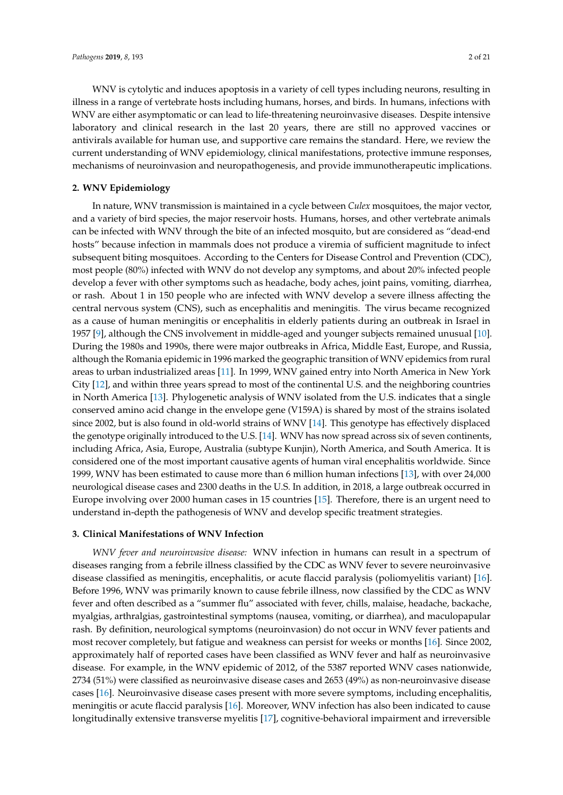WNV is cytolytic and induces apoptosis in a variety of cell types including neurons, resulting in illness in a range of vertebrate hosts including humans, horses, and birds. In humans, infections with WNV are either asymptomatic or can lead to life-threatening neuroinvasive diseases. Despite intensive laboratory and clinical research in the last 20 years, there are still no approved vaccines or antivirals available for human use, and supportive care remains the standard. Here, we review the current understanding of WNV epidemiology, clinical manifestations, protective immune responses, mechanisms of neuroinvasion and neuropathogenesis, and provide immunotherapeutic implications.

#### **2. WNV Epidemiology**

In nature, WNV transmission is maintained in a cycle between *Culex* mosquitoes, the major vector, and a variety of bird species, the major reservoir hosts. Humans, horses, and other vertebrate animals can be infected with WNV through the bite of an infected mosquito, but are considered as "dead-end hosts" because infection in mammals does not produce a viremia of sufficient magnitude to infect subsequent biting mosquitoes. According to the Centers for Disease Control and Prevention (CDC), most people (80%) infected with WNV do not develop any symptoms, and about 20% infected people develop a fever with other symptoms such as headache, body aches, joint pains, vomiting, diarrhea, or rash. About 1 in 150 people who are infected with WNV develop a severe illness affecting the central nervous system (CNS), such as encephalitis and meningitis. The virus became recognized as a cause of human meningitis or encephalitis in elderly patients during an outbreak in Israel in 1957 [\[9\]](#page-13-7), although the CNS involvement in middle-aged and younger subjects remained unusual [\[10\]](#page-13-8). During the 1980s and 1990s, there were major outbreaks in Africa, Middle East, Europe, and Russia, although the Romania epidemic in 1996 marked the geographic transition of WNV epidemics from rural areas to urban industrialized areas [\[11\]](#page-13-9). In 1999, WNV gained entry into North America in New York City [\[12\]](#page-13-10), and within three years spread to most of the continental U.S. and the neighboring countries in North America [\[13\]](#page-13-11). Phylogenetic analysis of WNV isolated from the U.S. indicates that a single conserved amino acid change in the envelope gene (V159A) is shared by most of the strains isolated since 2002, but is also found in old-world strains of WNV [\[14\]](#page-13-12). This genotype has effectively displaced the genotype originally introduced to the U.S. [\[14\]](#page-13-12). WNV has now spread across six of seven continents, including Africa, Asia, Europe, Australia (subtype Kunjin), North America, and South America. It is considered one of the most important causative agents of human viral encephalitis worldwide. Since 1999, WNV has been estimated to cause more than 6 million human infections [\[13\]](#page-13-11), with over 24,000 neurological disease cases and 2300 deaths in the U.S. In addition, in 2018, a large outbreak occurred in Europe involving over 2000 human cases in 15 countries [\[15\]](#page-13-13). Therefore, there is an urgent need to understand in-depth the pathogenesis of WNV and develop specific treatment strategies.

#### **3. Clinical Manifestations of WNV Infection**

*WNV fever and neuroinvasive disease:* WNV infection in humans can result in a spectrum of diseases ranging from a febrile illness classified by the CDC as WNV fever to severe neuroinvasive disease classified as meningitis, encephalitis, or acute flaccid paralysis (poliomyelitis variant) [\[16\]](#page-13-14). Before 1996, WNV was primarily known to cause febrile illness, now classified by the CDC as WNV fever and often described as a "summer flu" associated with fever, chills, malaise, headache, backache, myalgias, arthralgias, gastrointestinal symptoms (nausea, vomiting, or diarrhea), and maculopapular rash. By definition, neurological symptoms (neuroinvasion) do not occur in WNV fever patients and most recover completely, but fatigue and weakness can persist for weeks or months [\[16\]](#page-13-14). Since 2002, approximately half of reported cases have been classified as WNV fever and half as neuroinvasive disease. For example, in the WNV epidemic of 2012, of the 5387 reported WNV cases nationwide, 2734 (51%) were classified as neuroinvasive disease cases and 2653 (49%) as non-neuroinvasive disease cases [\[16\]](#page-13-14). Neuroinvasive disease cases present with more severe symptoms, including encephalitis, meningitis or acute flaccid paralysis [\[16\]](#page-13-14). Moreover, WNV infection has also been indicated to cause longitudinally extensive transverse myelitis [\[17\]](#page-13-15), cognitive-behavioral impairment and irreversible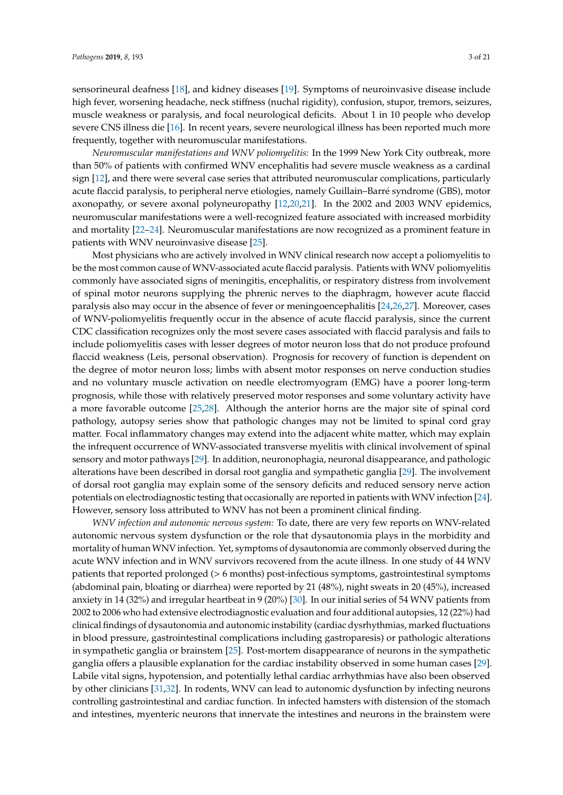sensorineural deafness [\[18\]](#page-13-16), and kidney diseases [\[19\]](#page-13-17). Symptoms of neuroinvasive disease include high fever, worsening headache, neck stiffness (nuchal rigidity), confusion, stupor, tremors, seizures, muscle weakness or paralysis, and focal neurological deficits. About 1 in 10 people who develop severe CNS illness die [\[16\]](#page-13-14). In recent years, severe neurological illness has been reported much more frequently, together with neuromuscular manifestations.

*Neuromuscular manifestations and WNV poliomyelitis:* In the 1999 New York City outbreak, more than 50% of patients with confirmed WNV encephalitis had severe muscle weakness as a cardinal sign [\[12\]](#page-13-10), and there were several case series that attributed neuromuscular complications, particularly acute flaccid paralysis, to peripheral nerve etiologies, namely Guillain–Barré syndrome (GBS), motor axonopathy, or severe axonal polyneuropathy [\[12,](#page-13-10)[20,](#page-13-18)[21\]](#page-13-19). In the 2002 and 2003 WNV epidemics, neuromuscular manifestations were a well-recognized feature associated with increased morbidity and mortality [\[22](#page-13-20)[–24\]](#page-13-21). Neuromuscular manifestations are now recognized as a prominent feature in patients with WNV neuroinvasive disease [\[25\]](#page-14-0).

Most physicians who are actively involved in WNV clinical research now accept a poliomyelitis to be the most common cause of WNV-associated acute flaccid paralysis. Patients with WNV poliomyelitis commonly have associated signs of meningitis, encephalitis, or respiratory distress from involvement of spinal motor neurons supplying the phrenic nerves to the diaphragm, however acute flaccid paralysis also may occur in the absence of fever or meningoencephalitis [\[24](#page-13-21)[,26](#page-14-1)[,27\]](#page-14-2). Moreover, cases of WNV-poliomyelitis frequently occur in the absence of acute flaccid paralysis, since the current CDC classification recognizes only the most severe cases associated with flaccid paralysis and fails to include poliomyelitis cases with lesser degrees of motor neuron loss that do not produce profound flaccid weakness (Leis, personal observation). Prognosis for recovery of function is dependent on the degree of motor neuron loss; limbs with absent motor responses on nerve conduction studies and no voluntary muscle activation on needle electromyogram (EMG) have a poorer long-term prognosis, while those with relatively preserved motor responses and some voluntary activity have a more favorable outcome [\[25,](#page-14-0)[28\]](#page-14-3). Although the anterior horns are the major site of spinal cord pathology, autopsy series show that pathologic changes may not be limited to spinal cord gray matter. Focal inflammatory changes may extend into the adjacent white matter, which may explain the infrequent occurrence of WNV-associated transverse myelitis with clinical involvement of spinal sensory and motor pathways [\[29\]](#page-14-4). In addition, neuronophagia, neuronal disappearance, and pathologic alterations have been described in dorsal root ganglia and sympathetic ganglia [\[29\]](#page-14-4). The involvement of dorsal root ganglia may explain some of the sensory deficits and reduced sensory nerve action potentials on electrodiagnostic testing that occasionally are reported in patients with WNV infection [\[24\]](#page-13-21). However, sensory loss attributed to WNV has not been a prominent clinical finding.

*WNV infection and autonomic nervous system:* To date, there are very few reports on WNV-related autonomic nervous system dysfunction or the role that dysautonomia plays in the morbidity and mortality of human WNV infection. Yet, symptoms of dysautonomia are commonly observed during the acute WNV infection and in WNV survivors recovered from the acute illness. In one study of 44 WNV patients that reported prolonged (> 6 months) post-infectious symptoms, gastrointestinal symptoms (abdominal pain, bloating or diarrhea) were reported by 21 (48%), night sweats in 20 (45%), increased anxiety in 14 (32%) and irregular heartbeat in 9 (20%) [\[30\]](#page-14-5). In our initial series of 54 WNV patients from 2002 to 2006 who had extensive electrodiagnostic evaluation and four additional autopsies, 12 (22%) had clinical findings of dysautonomia and autonomic instability (cardiac dysrhythmias, marked fluctuations in blood pressure, gastrointestinal complications including gastroparesis) or pathologic alterations in sympathetic ganglia or brainstem [\[25\]](#page-14-0). Post-mortem disappearance of neurons in the sympathetic ganglia offers a plausible explanation for the cardiac instability observed in some human cases [\[29\]](#page-14-4). Labile vital signs, hypotension, and potentially lethal cardiac arrhythmias have also been observed by other clinicians [\[31](#page-14-6)[,32\]](#page-14-7). In rodents, WNV can lead to autonomic dysfunction by infecting neurons controlling gastrointestinal and cardiac function. In infected hamsters with distension of the stomach and intestines, myenteric neurons that innervate the intestines and neurons in the brainstem were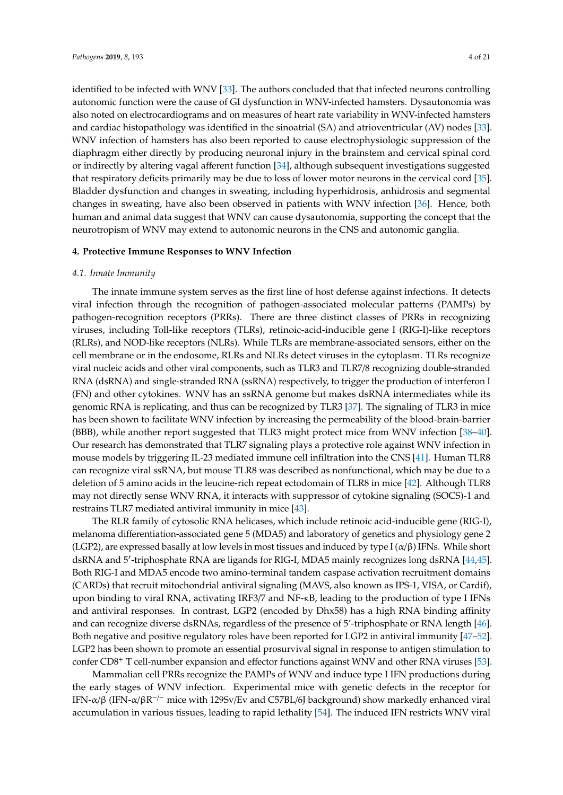identified to be infected with WNV [\[33\]](#page-14-8). The authors concluded that that infected neurons controlling autonomic function were the cause of GI dysfunction in WNV-infected hamsters. Dysautonomia was also noted on electrocardiograms and on measures of heart rate variability in WNV-infected hamsters and cardiac histopathology was identified in the sinoatrial (SA) and atrioventricular (AV) nodes [\[33\]](#page-14-8). WNV infection of hamsters has also been reported to cause electrophysiologic suppression of the diaphragm either directly by producing neuronal injury in the brainstem and cervical spinal cord or indirectly by altering vagal afferent function [\[34\]](#page-14-9), although subsequent investigations suggested that respiratory deficits primarily may be due to loss of lower motor neurons in the cervical cord [\[35\]](#page-14-10). Bladder dysfunction and changes in sweating, including hyperhidrosis, anhidrosis and segmental changes in sweating, have also been observed in patients with WNV infection [\[36\]](#page-14-11). Hence, both human and animal data suggest that WNV can cause dysautonomia, supporting the concept that the neurotropism of WNV may extend to autonomic neurons in the CNS and autonomic ganglia.

#### **4. Protective Immune Responses to WNV Infection**

#### *4.1. Innate Immunity*

The innate immune system serves as the first line of host defense against infections. It detects viral infection through the recognition of pathogen-associated molecular patterns (PAMPs) by pathogen-recognition receptors (PRRs). There are three distinct classes of PRRs in recognizing viruses, including Toll-like receptors (TLRs), retinoic-acid-inducible gene I (RIG-I)-like receptors (RLRs), and NOD-like receptors (NLRs). While TLRs are membrane-associated sensors, either on the cell membrane or in the endosome, RLRs and NLRs detect viruses in the cytoplasm. TLRs recognize viral nucleic acids and other viral components, such as TLR3 and TLR7/8 recognizing double-stranded RNA (dsRNA) and single-stranded RNA (ssRNA) respectively, to trigger the production of interferon I (FN) and other cytokines. WNV has an ssRNA genome but makes dsRNA intermediates while its genomic RNA is replicating, and thus can be recognized by TLR3 [\[37\]](#page-14-12). The signaling of TLR3 in mice has been shown to facilitate WNV infection by increasing the permeability of the blood-brain-barrier (BBB), while another report suggested that TLR3 might protect mice from WNV infection [\[38–](#page-14-13)[40\]](#page-14-14). Our research has demonstrated that TLR7 signaling plays a protective role against WNV infection in mouse models by triggering IL-23 mediated immune cell infiltration into the CNS [\[41\]](#page-14-15). Human TLR8 can recognize viral ssRNA, but mouse TLR8 was described as nonfunctional, which may be due to a deletion of 5 amino acids in the leucine-rich repeat ectodomain of TLR8 in mice [\[42\]](#page-14-16). Although TLR8 may not directly sense WNV RNA, it interacts with suppressor of cytokine signaling (SOCS)-1 and restrains TLR7 mediated antiviral immunity in mice [\[43\]](#page-14-17).

The RLR family of cytosolic RNA helicases, which include retinoic acid-inducible gene (RIG-I), melanoma differentiation-associated gene 5 (MDA5) and laboratory of genetics and physiology gene 2 (LGP2), are expressed basally at low levels in most tissues and induced by type I ( $\alpha/\beta$ ) IFNs. While short dsRNA and 5'-triphosphate RNA are ligands for RIG-I, MDA5 mainly recognizes long dsRNA [\[44](#page-14-18)[,45\]](#page-15-0). Both RIG-I and MDA5 encode two amino-terminal tandem caspase activation recruitment domains (CARDs) that recruit mitochondrial antiviral signaling (MAVS, also known as IPS-1, VISA, or Cardif), upon binding to viral RNA, activating IRF3/7 and NF-κB, leading to the production of type I IFNs and antiviral responses. In contrast, LGP2 (encoded by Dhx58) has a high RNA binding affinity and can recognize diverse dsRNAs, regardless of the presence of 5'-triphosphate or RNA length [\[46\]](#page-15-1). Both negative and positive regulatory roles have been reported for LGP2 in antiviral immunity [\[47–](#page-15-2)[52\]](#page-15-3). LGP2 has been shown to promote an essential prosurvival signal in response to antigen stimulation to confer CD8<sup>+</sup> T cell-number expansion and effector functions against WNV and other RNA viruses [\[53\]](#page-15-4).

Mammalian cell PRRs recognize the PAMPs of WNV and induce type I IFN productions during the early stages of WNV infection. Experimental mice with genetic defects in the receptor for IFN- $\alpha/\beta$  (IFN- $\alpha/\beta$ R<sup>-/-</sup> mice with 129Sv/Ev and C57BL/6J background) show markedly enhanced viral accumulation in various tissues, leading to rapid lethality [\[54\]](#page-15-5). The induced IFN restricts WNV viral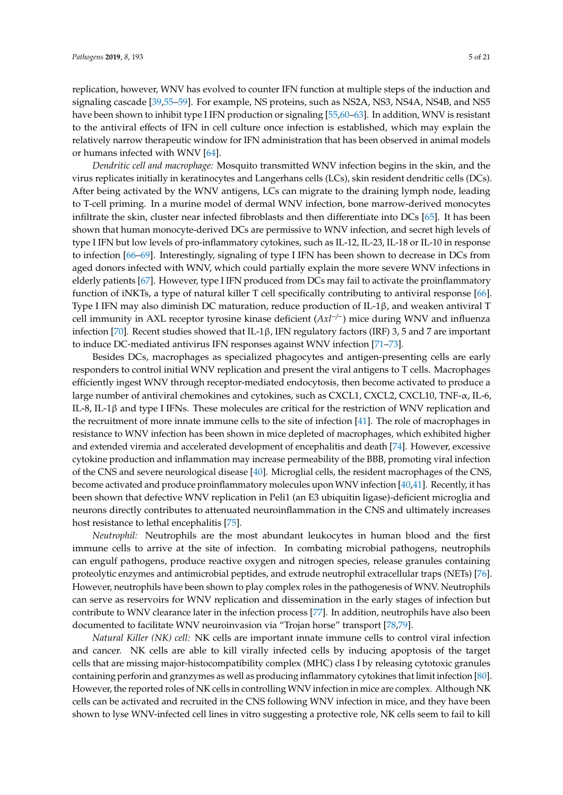replication, however, WNV has evolved to counter IFN function at multiple steps of the induction and signaling cascade [\[39](#page-14-19)[,55](#page-15-6)[–59\]](#page-15-7). For example, NS proteins, such as NS2A, NS3, NS4A, NS4B, and NS5 have been shown to inhibit type I IFN production or signaling [\[55,](#page-15-6)[60–](#page-15-8)[63\]](#page-16-0). In addition, WNV is resistant to the antiviral effects of IFN in cell culture once infection is established, which may explain the relatively narrow therapeutic window for IFN administration that has been observed in animal models or humans infected with WNV [\[64\]](#page-16-1).

*Dendritic cell and macrophage:* Mosquito transmitted WNV infection begins in the skin, and the virus replicates initially in keratinocytes and Langerhans cells (LCs), skin resident dendritic cells (DCs). After being activated by the WNV antigens, LCs can migrate to the draining lymph node, leading to T-cell priming. In a murine model of dermal WNV infection, bone marrow-derived monocytes infiltrate the skin, cluster near infected fibroblasts and then differentiate into DCs [\[65\]](#page-16-2). It has been shown that human monocyte-derived DCs are permissive to WNV infection, and secret high levels of type I IFN but low levels of pro-inflammatory cytokines, such as IL-12, IL-23, IL-18 or IL-10 in response to infection [\[66–](#page-16-3)[69\]](#page-16-4). Interestingly, signaling of type I IFN has been shown to decrease in DCs from aged donors infected with WNV, which could partially explain the more severe WNV infections in elderly patients [\[67\]](#page-16-5). However, type I IFN produced from DCs may fail to activate the proinflammatory function of iNKTs, a type of natural killer T cell specifically contributing to antiviral response [\[66\]](#page-16-3). Type I IFN may also diminish DC maturation, reduce production of IL-1β, and weaken antiviral T cell immunity in AXL receptor tyrosine kinase deficient (*Axl*−/−) mice during WNV and influenza infection [\[70\]](#page-16-6). Recent studies showed that IL-1β, IFN regulatory factors (IRF) 3, 5 and 7 are important to induce DC-mediated antivirus IFN responses against WNV infection [\[71](#page-16-7)[–73\]](#page-16-8).

Besides DCs, macrophages as specialized phagocytes and antigen-presenting cells are early responders to control initial WNV replication and present the viral antigens to T cells. Macrophages efficiently ingest WNV through receptor-mediated endocytosis, then become activated to produce a large number of antiviral chemokines and cytokines, such as CXCL1, CXCL2, CXCL10, TNF-α, IL-6, IL-8, IL-1β and type I IFNs. These molecules are critical for the restriction of WNV replication and the recruitment of more innate immune cells to the site of infection [\[41\]](#page-14-15). The role of macrophages in resistance to WNV infection has been shown in mice depleted of macrophages, which exhibited higher and extended viremia and accelerated development of encephalitis and death [\[74\]](#page-16-9). However, excessive cytokine production and inflammation may increase permeability of the BBB, promoting viral infection of the CNS and severe neurological disease [\[40\]](#page-14-14). Microglial cells, the resident macrophages of the CNS, become activated and produce proinflammatory molecules upon WNV infection [\[40,](#page-14-14)[41\]](#page-14-15). Recently, it has been shown that defective WNV replication in Peli1 (an E3 ubiquitin ligase)-deficient microglia and neurons directly contributes to attenuated neuroinflammation in the CNS and ultimately increases host resistance to lethal encephalitis [\[75\]](#page-16-10).

*Neutrophil:* Neutrophils are the most abundant leukocytes in human blood and the first immune cells to arrive at the site of infection. In combating microbial pathogens, neutrophils can engulf pathogens, produce reactive oxygen and nitrogen species, release granules containing proteolytic enzymes and antimicrobial peptides, and extrude neutrophil extracellular traps (NETs) [\[76\]](#page-16-11). However, neutrophils have been shown to play complex roles in the pathogenesis of WNV. Neutrophils can serve as reservoirs for WNV replication and dissemination in the early stages of infection but contribute to WNV clearance later in the infection process [\[77\]](#page-16-12). In addition, neutrophils have also been documented to facilitate WNV neuroinvasion via "Trojan horse" transport [\[78](#page-16-13)[,79\]](#page-16-14).

*Natural Killer (NK) cell:* NK cells are important innate immune cells to control viral infection and cancer. NK cells are able to kill virally infected cells by inducing apoptosis of the target cells that are missing major-histocompatibility complex (MHC) class I by releasing cytotoxic granules containing perforin and granzymes as well as producing inflammatory cytokines that limit infection [\[80\]](#page-16-15). However, the reported roles of NK cells in controlling WNV infection in mice are complex. Although NK cells can be activated and recruited in the CNS following WNV infection in mice, and they have been shown to lyse WNV-infected cell lines in vitro suggesting a protective role, NK cells seem to fail to kill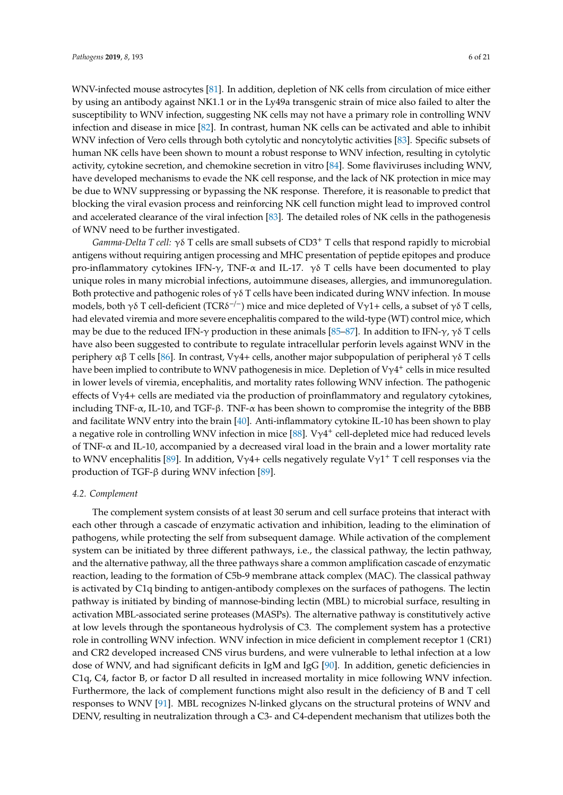WNV-infected mouse astrocytes [\[81\]](#page-16-16). In addition, depletion of NK cells from circulation of mice either by using an antibody against NK1.1 or in the Ly49a transgenic strain of mice also failed to alter the susceptibility to WNV infection, suggesting NK cells may not have a primary role in controlling WNV infection and disease in mice [\[82\]](#page-16-17). In contrast, human NK cells can be activated and able to inhibit WNV infection of Vero cells through both cytolytic and noncytolytic activities [\[83\]](#page-17-0). Specific subsets of human NK cells have been shown to mount a robust response to WNV infection, resulting in cytolytic activity, cytokine secretion, and chemokine secretion in vitro [\[84\]](#page-17-1). Some flaviviruses including WNV, have developed mechanisms to evade the NK cell response, and the lack of NK protection in mice may be due to WNV suppressing or bypassing the NK response. Therefore, it is reasonable to predict that blocking the viral evasion process and reinforcing NK cell function might lead to improved control and accelerated clearance of the viral infection [\[83\]](#page-17-0). The detailed roles of NK cells in the pathogenesis of WNV need to be further investigated.

*Gamma-Delta T cell:*  $\gamma$ δ T cells are small subsets of CD3<sup>+</sup> T cells that respond rapidly to microbial antigens without requiring antigen processing and MHC presentation of peptide epitopes and produce pro-inflammatory cytokines IFN-γ, TNF- $\alpha$  and IL-17. γδ T cells have been documented to play unique roles in many microbial infections, autoimmune diseases, allergies, and immunoregulation. Both protective and pathogenic roles of  $\gamma \delta$  T cells have been indicated during WNV infection. In mouse models, both γδ T cell-deficient (TCRδ<sup>-/-</sup>) mice and mice depleted of Vγ1+ cells, a subset of γδ T cells, had elevated viremia and more severe encephalitis compared to the wild-type (WT) control mice, which may be due to the reduced IFN- $\gamma$  production in these animals [\[85](#page-17-2)[–87\]](#page-17-3). In addition to IFN- $\gamma$ ,  $\gamma \delta$  T cells have also been suggested to contribute to regulate intracellular perforin levels against WNV in the periphery αβ T cells [\[86\]](#page-17-4). In contrast, Vγ4+ cells, another major subpopulation of peripheral γδ T cells have been implied to contribute to WNV pathogenesis in mice. Depletion of V $\gamma$ 4<sup>+</sup> cells in mice resulted in lower levels of viremia, encephalitis, and mortality rates following WNV infection. The pathogenic effects of V $\gamma$ 4+ cells are mediated via the production of proinflammatory and regulatory cytokines, including TNF- $\alpha$ , IL-10, and TGF-β. TNF- $\alpha$  has been shown to compromise the integrity of the BBB and facilitate WNV entry into the brain [\[40\]](#page-14-14). Anti-inflammatory cytokine IL-10 has been shown to play a negative role in controlling WNV infection in mice  $[88]$ . V $\gamma$ 4<sup>+</sup> cell-depleted mice had reduced levels of TNF-α and IL-10, accompanied by a decreased viral load in the brain and a lower mortality rate to WNV encephalitis [\[89\]](#page-17-6). In addition, V $\gamma$ 4+ cells negatively regulate V $\gamma$ 1<sup>+</sup> T cell responses via the production of TGF-β during WNV infection [\[89\]](#page-17-6).

#### *4.2. Complement*

The complement system consists of at least 30 serum and cell surface proteins that interact with each other through a cascade of enzymatic activation and inhibition, leading to the elimination of pathogens, while protecting the self from subsequent damage. While activation of the complement system can be initiated by three different pathways, i.e., the classical pathway, the lectin pathway, and the alternative pathway, all the three pathways share a common amplification cascade of enzymatic reaction, leading to the formation of C5b-9 membrane attack complex (MAC). The classical pathway is activated by C1q binding to antigen-antibody complexes on the surfaces of pathogens. The lectin pathway is initiated by binding of mannose-binding lectin (MBL) to microbial surface, resulting in activation MBL-associated serine proteases (MASPs). The alternative pathway is constitutively active at low levels through the spontaneous hydrolysis of C3. The complement system has a protective role in controlling WNV infection. WNV infection in mice deficient in complement receptor 1 (CR1) and CR2 developed increased CNS virus burdens, and were vulnerable to lethal infection at a low dose of WNV, and had significant deficits in IgM and IgG [\[90\]](#page-17-7). In addition, genetic deficiencies in C1q, C4, factor B, or factor D all resulted in increased mortality in mice following WNV infection. Furthermore, the lack of complement functions might also result in the deficiency of B and T cell responses to WNV [\[91\]](#page-17-8). MBL recognizes N-linked glycans on the structural proteins of WNV and DENV, resulting in neutralization through a C3- and C4-dependent mechanism that utilizes both the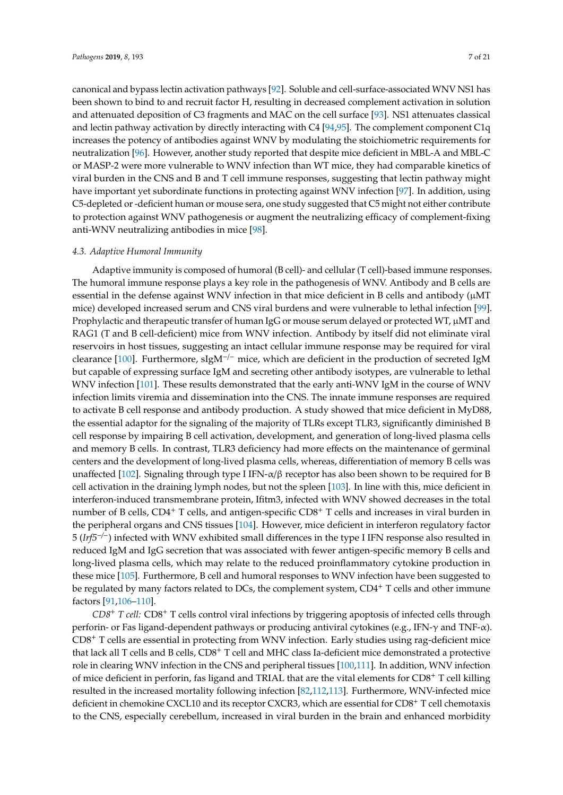canonical and bypass lectin activation pathways [\[92\]](#page-17-9). Soluble and cell-surface-associated WNV NS1 has been shown to bind to and recruit factor H, resulting in decreased complement activation in solution and attenuated deposition of C3 fragments and MAC on the cell surface [\[93\]](#page-17-10). NS1 attenuates classical and lectin pathway activation by directly interacting with C4 [\[94](#page-17-11)[,95\]](#page-17-12). The complement component C1q increases the potency of antibodies against WNV by modulating the stoichiometric requirements for neutralization [\[96\]](#page-17-13). However, another study reported that despite mice deficient in MBL-A and MBL-C or MASP-2 were more vulnerable to WNV infection than WT mice, they had comparable kinetics of viral burden in the CNS and B and T cell immune responses, suggesting that lectin pathway might have important yet subordinate functions in protecting against WNV infection [\[97\]](#page-17-14). In addition, using C5-depleted or -deficient human or mouse sera, one study suggested that C5 might not either contribute to protection against WNV pathogenesis or augment the neutralizing efficacy of complement-fixing anti-WNV neutralizing antibodies in mice [\[98\]](#page-17-15).

#### *4.3. Adaptive Humoral Immunity*

Adaptive immunity is composed of humoral (B cell)- and cellular (T cell)-based immune responses. The humoral immune response plays a key role in the pathogenesis of WNV. Antibody and B cells are essential in the defense against WNV infection in that mice deficient in B cells and antibody ( $\mu$ MT mice) developed increased serum and CNS viral burdens and were vulnerable to lethal infection [\[99\]](#page-17-16). Prophylactic and therapeutic transfer of human IgG or mouse serum delayed or protected WT,  $\mu$ MT and RAG1 (T and B cell-deficient) mice from WNV infection. Antibody by itself did not eliminate viral reservoirs in host tissues, suggesting an intact cellular immune response may be required for viral clearance [\[100\]](#page-17-17). Furthermore, sIgM<sup>-/-</sup> mice, which are deficient in the production of secreted IgM but capable of expressing surface IgM and secreting other antibody isotypes, are vulnerable to lethal WNV infection [\[101\]](#page-17-18). These results demonstrated that the early anti-WNV IgM in the course of WNV infection limits viremia and dissemination into the CNS. The innate immune responses are required to activate B cell response and antibody production. A study showed that mice deficient in MyD88, the essential adaptor for the signaling of the majority of TLRs except TLR3, significantly diminished B cell response by impairing B cell activation, development, and generation of long-lived plasma cells and memory B cells. In contrast, TLR3 deficiency had more effects on the maintenance of germinal centers and the development of long-lived plasma cells, whereas, differentiation of memory B cells was unaffected [\[102\]](#page-18-0). Signaling through type I IFN-α/β receptor has also been shown to be required for B cell activation in the draining lymph nodes, but not the spleen [\[103\]](#page-18-1). In line with this, mice deficient in interferon-induced transmembrane protein, Ifitm3, infected with WNV showed decreases in the total number of B cells, CD4<sup>+</sup> T cells, and antigen-specific CD8<sup>+</sup> T cells and increases in viral burden in the peripheral organs and CNS tissues [\[104\]](#page-18-2). However, mice deficient in interferon regulatory factor 5 (*Irf5*−/−) infected with WNV exhibited small differences in the type I IFN response also resulted in reduced IgM and IgG secretion that was associated with fewer antigen-specific memory B cells and long-lived plasma cells, which may relate to the reduced proinflammatory cytokine production in these mice [\[105\]](#page-18-3). Furthermore, B cell and humoral responses to WNV infection have been suggested to be regulated by many factors related to DCs, the complement system, CD4<sup>+</sup> T cells and other immune factors [\[91](#page-17-8)[,106](#page-18-4)[–110\]](#page-18-5).

*CD8*<sup>+</sup> *T cell:* CD8<sup>+</sup> T cells control viral infections by triggering apoptosis of infected cells through perforin- or Fas ligand-dependent pathways or producing antiviral cytokines (e.g., IFN-γ and TNF-α). CD8<sup>+</sup> T cells are essential in protecting from WNV infection. Early studies using rag-deficient mice that lack all T cells and B cells, CD8<sup>+</sup> T cell and MHC class Ia-deficient mice demonstrated a protective role in clearing WNV infection in the CNS and peripheral tissues [\[100,](#page-17-17)[111\]](#page-18-6). In addition, WNV infection of mice deficient in perforin, fas ligand and TRIAL that are the vital elements for CD8<sup>+</sup> T cell killing resulted in the increased mortality following infection [\[82](#page-16-17)[,112](#page-18-7)[,113\]](#page-18-8). Furthermore, WNV-infected mice deficient in chemokine CXCL10 and its receptor CXCR3, which are essential for CD8<sup>+</sup> T cell chemotaxis to the CNS, especially cerebellum, increased in viral burden in the brain and enhanced morbidity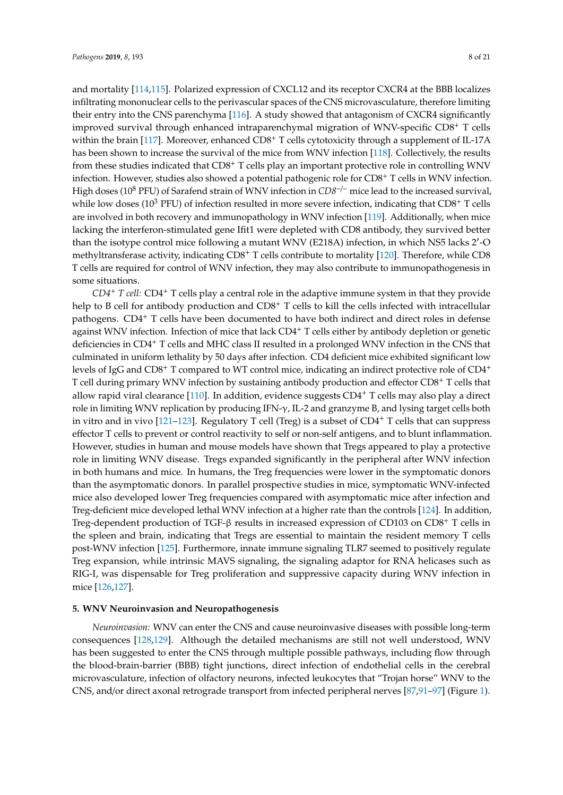and mortality [\[114](#page-18-9)[,115\]](#page-18-10). Polarized expression of CXCL12 and its receptor CXCR4 at the BBB localizes infiltrating mononuclear cells to the perivascular spaces of the CNS microvasculature, therefore limiting their entry into the CNS parenchyma [\[116\]](#page-18-11). A study showed that antagonism of CXCR4 significantly improved survival through enhanced intraparenchymal migration of WNV-specific CD8<sup>+</sup> T cells within the brain [\[117\]](#page-18-12). Moreover, enhanced CD8<sup>+</sup> T cells cytotoxicity through a supplement of IL-17A has been shown to increase the survival of the mice from WNV infection [\[118\]](#page-18-13). Collectively, the results from these studies indicated that CD8<sup>+</sup> T cells play an important protective role in controlling WNV infection. However, studies also showed a potential pathogenic role for CD8<sup>+</sup> T cells in WNV infection. High doses (10<sup>8</sup> PFU) of Sarafend strain of WNV infection in *CD8*−/<sup>−</sup> mice lead to the increased survival, while low doses ( $10^3$  PFU) of infection resulted in more severe infection, indicating that CD8<sup>+</sup> T cells are involved in both recovery and immunopathology in WNV infection [\[119\]](#page-18-14). Additionally, when mice lacking the interferon-stimulated gene Ifit1 were depleted with CD8 antibody, they survived better than the isotype control mice following a mutant WNV (E218A) infection, in which NS5 lacks 2'-O methyltransferase activity, indicating CD8<sup>+</sup> T cells contribute to mortality [\[120\]](#page-18-15). Therefore, while CD8 T cells are required for control of WNV infection, they may also contribute to immunopathogenesis in some situations.

*CD4*<sup>+</sup> *T cell:* CD4<sup>+</sup> T cells play a central role in the adaptive immune system in that they provide help to B cell for antibody production and CD8<sup>+</sup> T cells to kill the cells infected with intracellular pathogens. CD4<sup>+</sup> T cells have been documented to have both indirect and direct roles in defense against WNV infection. Infection of mice that lack CD4<sup>+</sup> T cells either by antibody depletion or genetic deficiencies in CD4<sup>+</sup> T cells and MHC class II resulted in a prolonged WNV infection in the CNS that culminated in uniform lethality by 50 days after infection. CD4 deficient mice exhibited significant low levels of IgG and  $CD8^+$  T compared to WT control mice, indicating an indirect protective role of  $CD4^+$ T cell during primary WNV infection by sustaining antibody production and effector CD8<sup>+</sup> T cells that allow rapid viral clearance [\[110\]](#page-18-5). In addition, evidence suggests CD4<sup>+</sup> T cells may also play a direct role in limiting WNV replication by producing IFN-γ, IL-2 and granzyme B, and lysing target cells both in vitro and in vivo  $[121-123]$  $[121-123]$ . Regulatory T cell (Treg) is a subset of  $CD4^+$  T cells that can suppress effector T cells to prevent or control reactivity to self or non-self antigens, and to blunt inflammation. However, studies in human and mouse models have shown that Tregs appeared to play a protective role in limiting WNV disease. Tregs expanded significantly in the peripheral after WNV infection in both humans and mice. In humans, the Treg frequencies were lower in the symptomatic donors than the asymptomatic donors. In parallel prospective studies in mice, symptomatic WNV-infected mice also developed lower Treg frequencies compared with asymptomatic mice after infection and Treg-deficient mice developed lethal WNV infection at a higher rate than the controls [\[124\]](#page-19-2). In addition, Treg-dependent production of TGF- $\beta$  results in increased expression of CD103 on CD8<sup>+</sup> T cells in the spleen and brain, indicating that Tregs are essential to maintain the resident memory T cells post-WNV infection [\[125\]](#page-19-3). Furthermore, innate immune signaling TLR7 seemed to positively regulate Treg expansion, while intrinsic MAVS signaling, the signaling adaptor for RNA helicases such as RIG-I, was dispensable for Treg proliferation and suppressive capacity during WNV infection in mice [\[126,](#page-19-4)[127\]](#page-19-5).

#### **5. WNV Neuroinvasion and Neuropathogenesis**

*Neuroinvasion:* WNV can enter the CNS and cause neuroinvasive diseases with possible long-term consequences [\[128,](#page-19-6)[129\]](#page-19-7). Although the detailed mechanisms are still not well understood, WNV has been suggested to enter the CNS through multiple possible pathways, including flow through the blood-brain-barrier (BBB) tight junctions, direct infection of endothelial cells in the cerebral microvasculature, infection of olfactory neurons, infected leukocytes that "Trojan horse" WNV to the CNS, and/or direct axonal retrograde transport from infected peripheral nerves [\[87,](#page-17-3)[91–](#page-17-8)[97\]](#page-17-14) (Figure [1\)](#page-9-0).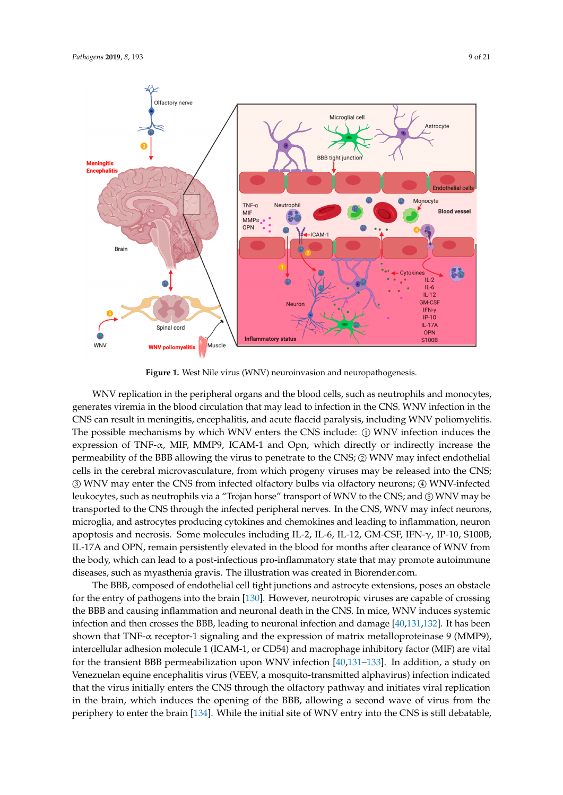<span id="page-9-0"></span>

**Figure 1.** West Nile virus (WNV) neuroinvasion and neuropathogenesis. **Figure 1.** West Nile virus (WNV) neuroinvasion and neuropathogenesis.

WNV replication in the peripheral organs and the blood cells, such as neutrophils and monocytes, generates viremia in the blood circulation that may lead to infection in the CNS. WNV infection in the  $\overline{\mathrm{CNS}}$  can result in meningitis, encephalitis, and acute flaccid paralysis, including WNV poliomyelitis. The possible mechanisms by which WNV enters the CNS include: ① WNV infection induces the expression of TNF-α, MIF, MMP9, ICAM-1 and Opn, which directly or indirectly increase the permeability of the BBB allowing the virus to penetrate to the CNS; ② WNV may infect endothelial cells in the cerebral microvasculature, from which progeny viruses may be released into the CNS; ③ WNV may enter the CNS from infected olfactory bulbs via olfactory neurons; ④ WNV-infected leukocytes, such as neutrophils via a "Trojan horse" transport of WNV to the CNS; and ⑤ WNV may be<br>transported to the CNS through the infected peripheral nerves. In the CNS, WNV may infect neurons, transported to the CNS through the infected peripheral nerves. In the CNS, WNV may infect neurons, microglia, and astrocytes producing cytokines and chemokines and leading to inflammation, neuron apoptosis and necrosis. Some molecules including IL-2, IL-6, IL-12, GM-CSF, IFN-γ, IP-10, S100B, IL-17A and OPN, remain persistently elevated in the blood for months after clearance of WNV from the body, which can lead to a post-infectious pro-inflammatory state that may promote autoimmune diseases, such as myasthenia gravis. The illustration was created in Biorender.com.

The BBB, composed of endothelial cell tight junctions and astrocyte extensions, poses an obstacle for the entry of pathogens into the brain [130]. However, neurotropic viruses are capable of crossing the BBB and causing inflammation and neuronal death in the CNS. In mice, WNV induces systemic infection and then crosses the BBB, leading to neuronal infection and damage [40,131,132]. It has been shown that TNF-α receptor-1 signaling and the expression of matrix metalloproteinase 9 (MMP9), intercellular adhesion molecule 1 (ICAM-1, or CD54) and macrophage inhibitory factor (MIF) are vital for the transient BBB permeabilization upon WNV infection [40,131-133]. In addition, a study on Venezuelan equine encephalitis virus (VEEV, a mosquito-transmitted alphavirus) infection indicated that the virus initially enters the CNS through the olfactory pathway and initiates viral replication in the brain, which induces the opening of the BBB, allowing a second wave of virus from the periphery to enter the brain [134]. While the initial site of WNV entry into the CNS is still debatable,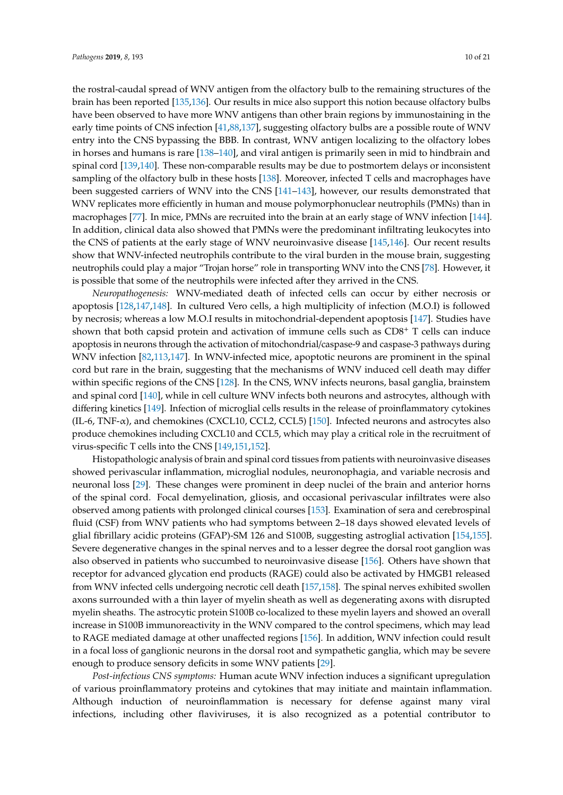the rostral-caudal spread of WNV antigen from the olfactory bulb to the remaining structures of the brain has been reported [\[135,](#page-19-13)[136\]](#page-19-14). Our results in mice also support this notion because olfactory bulbs have been observed to have more WNV antigens than other brain regions by immunostaining in the early time points of CNS infection [\[41,](#page-14-15)[88](#page-17-5)[,137\]](#page-19-15), suggesting olfactory bulbs are a possible route of WNV entry into the CNS bypassing the BBB. In contrast, WNV antigen localizing to the olfactory lobes in horses and humans is rare [\[138](#page-19-16)[–140\]](#page-19-17), and viral antigen is primarily seen in mid to hindbrain and spinal cord [\[139,](#page-19-18)[140\]](#page-19-17). These non-comparable results may be due to postmortem delays or inconsistent sampling of the olfactory bulb in these hosts [\[138\]](#page-19-16). Moreover, infected T cells and macrophages have been suggested carriers of WNV into the CNS [\[141](#page-20-0)[–143\]](#page-20-1), however, our results demonstrated that WNV replicates more efficiently in human and mouse polymorphonuclear neutrophils (PMNs) than in macrophages [\[77\]](#page-16-12). In mice, PMNs are recruited into the brain at an early stage of WNV infection [\[144\]](#page-20-2). In addition, clinical data also showed that PMNs were the predominant infiltrating leukocytes into the CNS of patients at the early stage of WNV neuroinvasive disease [\[145,](#page-20-3)[146\]](#page-20-4). Our recent results show that WNV-infected neutrophils contribute to the viral burden in the mouse brain, suggesting neutrophils could play a major "Trojan horse" role in transporting WNV into the CNS [\[78\]](#page-16-13). However, it is possible that some of the neutrophils were infected after they arrived in the CNS.

*Neuropathogenesis:* WNV-mediated death of infected cells can occur by either necrosis or apoptosis [\[128](#page-19-6)[,147](#page-20-5)[,148\]](#page-20-6). In cultured Vero cells, a high multiplicity of infection (M.O.I) is followed by necrosis; whereas a low M.O.I results in mitochondrial-dependent apoptosis [\[147\]](#page-20-5). Studies have shown that both capsid protein and activation of immune cells such as  $CDS<sup>+</sup> T$  cells can induce apoptosis in neurons through the activation of mitochondrial/caspase-9 and caspase-3 pathways during WNV infection [\[82](#page-16-17)[,113,](#page-18-8)[147\]](#page-20-5). In WNV-infected mice, apoptotic neurons are prominent in the spinal cord but rare in the brain, suggesting that the mechanisms of WNV induced cell death may differ within specific regions of the CNS [\[128\]](#page-19-6). In the CNS, WNV infects neurons, basal ganglia, brainstem and spinal cord [\[140\]](#page-19-17), while in cell culture WNV infects both neurons and astrocytes, although with differing kinetics [\[149\]](#page-20-7). Infection of microglial cells results in the release of proinflammatory cytokines (IL-6, TNF- $\alpha$ ), and chemokines (CXCL10, CCL2, CCL5) [\[150\]](#page-20-8). Infected neurons and astrocytes also produce chemokines including CXCL10 and CCL5, which may play a critical role in the recruitment of virus-specific T cells into the CNS [\[149,](#page-20-7)[151,](#page-20-9)[152\]](#page-20-10).

Histopathologic analysis of brain and spinal cord tissues from patients with neuroinvasive diseases showed perivascular inflammation, microglial nodules, neuronophagia, and variable necrosis and neuronal loss [\[29\]](#page-14-4). These changes were prominent in deep nuclei of the brain and anterior horns of the spinal cord. Focal demyelination, gliosis, and occasional perivascular infiltrates were also observed among patients with prolonged clinical courses [\[153\]](#page-20-11). Examination of sera and cerebrospinal fluid (CSF) from WNV patients who had symptoms between 2–18 days showed elevated levels of glial fibrillary acidic proteins (GFAP)-SM 126 and S100B, suggesting astroglial activation [\[154,](#page-20-12)[155\]](#page-20-13). Severe degenerative changes in the spinal nerves and to a lesser degree the dorsal root ganglion was also observed in patients who succumbed to neuroinvasive disease [\[156\]](#page-20-14). Others have shown that receptor for advanced glycation end products (RAGE) could also be activated by HMGB1 released from WNV infected cells undergoing necrotic cell death [\[157](#page-20-15)[,158\]](#page-20-16). The spinal nerves exhibited swollen axons surrounded with a thin layer of myelin sheath as well as degenerating axons with disrupted myelin sheaths. The astrocytic protein S100B co-localized to these myelin layers and showed an overall increase in S100B immunoreactivity in the WNV compared to the control specimens, which may lead to RAGE mediated damage at other unaffected regions [\[156\]](#page-20-14). In addition, WNV infection could result in a focal loss of ganglionic neurons in the dorsal root and sympathetic ganglia, which may be severe enough to produce sensory deficits in some WNV patients [\[29\]](#page-14-4).

*Post-infectious CNS symptoms:* Human acute WNV infection induces a significant upregulation of various proinflammatory proteins and cytokines that may initiate and maintain inflammation. Although induction of neuroinflammation is necessary for defense against many viral infections, including other flaviviruses, it is also recognized as a potential contributor to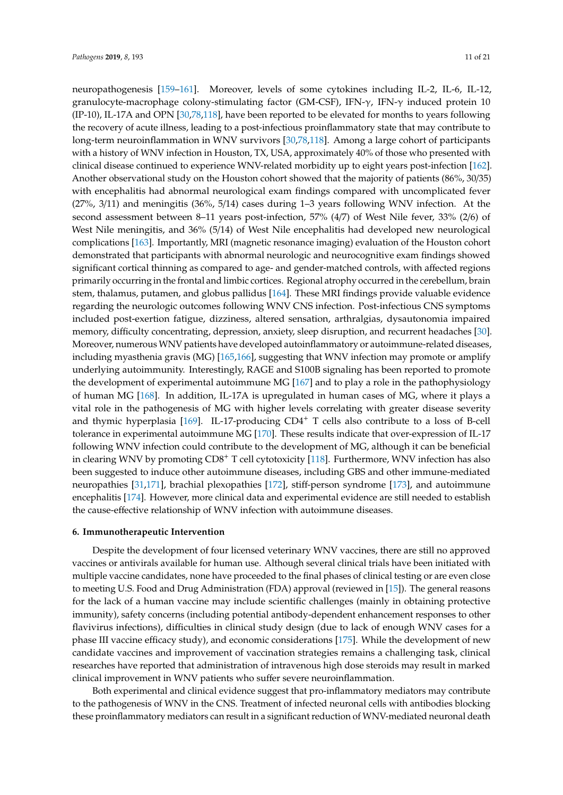neuropathogenesis [\[159–](#page-20-17)[161\]](#page-20-18). Moreover, levels of some cytokines including IL-2, IL-6, IL-12, granulocyte-macrophage colony-stimulating factor (GM-CSF), IFN- $\gamma$ , IFN- $\gamma$  induced protein 10 (IP-10), IL-17A and OPN [\[30,](#page-14-5)[78,](#page-16-13)[118\]](#page-18-13), have been reported to be elevated for months to years following the recovery of acute illness, leading to a post-infectious proinflammatory state that may contribute to long-term neuroinflammation in WNV survivors [\[30,](#page-14-5)[78,](#page-16-13)[118\]](#page-18-13). Among a large cohort of participants with a history of WNV infection in Houston, TX, USA, approximately 40% of those who presented with clinical disease continued to experience WNV-related morbidity up to eight years post-infection [\[162\]](#page-21-0). Another observational study on the Houston cohort showed that the majority of patients (86%, 30/35) with encephalitis had abnormal neurological exam findings compared with uncomplicated fever (27%, 3/11) and meningitis (36%, 5/14) cases during 1–3 years following WNV infection. At the second assessment between 8–11 years post-infection, 57% (4/7) of West Nile fever, 33% (2/6) of West Nile meningitis, and 36% (5/14) of West Nile encephalitis had developed new neurological complications [\[163\]](#page-21-1). Importantly, MRI (magnetic resonance imaging) evaluation of the Houston cohort demonstrated that participants with abnormal neurologic and neurocognitive exam findings showed significant cortical thinning as compared to age- and gender-matched controls, with affected regions primarily occurring in the frontal and limbic cortices. Regional atrophy occurred in the cerebellum, brain stem, thalamus, putamen, and globus pallidus [\[164\]](#page-21-2). These MRI findings provide valuable evidence regarding the neurologic outcomes following WNV CNS infection. Post-infectious CNS symptoms included post-exertion fatigue, dizziness, altered sensation, arthralgias, dysautonomia impaired memory, difficulty concentrating, depression, anxiety, sleep disruption, and recurrent headaches [\[30\]](#page-14-5). Moreover, numerous WNV patients have developed autoinflammatory or autoimmune-related diseases, including myasthenia gravis (MG) [\[165](#page-21-3)[,166\]](#page-21-4), suggesting that WNV infection may promote or amplify underlying autoimmunity. Interestingly, RAGE and S100B signaling has been reported to promote the development of experimental autoimmune MG [\[167\]](#page-21-5) and to play a role in the pathophysiology of human MG [\[168\]](#page-21-6). In addition, IL-17A is upregulated in human cases of MG, where it plays a vital role in the pathogenesis of MG with higher levels correlating with greater disease severity and thymic hyperplasia  $[169]$ . IL-17-producing CD4<sup>+</sup> T cells also contribute to a loss of B-cell tolerance in experimental autoimmune MG [\[170\]](#page-21-8). These results indicate that over-expression of IL-17 following WNV infection could contribute to the development of MG, although it can be beneficial in clearing WNV by promoting CD8<sup>+</sup> T cell cytotoxicity [\[118\]](#page-18-13). Furthermore, WNV infection has also been suggested to induce other autoimmune diseases, including GBS and other immune-mediated neuropathies [\[31](#page-14-6)[,171\]](#page-21-9), brachial plexopathies [\[172\]](#page-21-10), stiff-person syndrome [\[173\]](#page-21-11), and autoimmune encephalitis [\[174\]](#page-21-12). However, more clinical data and experimental evidence are still needed to establish the cause-effective relationship of WNV infection with autoimmune diseases.

#### **6. Immunotherapeutic Intervention**

Despite the development of four licensed veterinary WNV vaccines, there are still no approved vaccines or antivirals available for human use. Although several clinical trials have been initiated with multiple vaccine candidates, none have proceeded to the final phases of clinical testing or are even close to meeting U.S. Food and Drug Administration (FDA) approval (reviewed in [\[15\]](#page-13-13)). The general reasons for the lack of a human vaccine may include scientific challenges (mainly in obtaining protective immunity), safety concerns (including potential antibody-dependent enhancement responses to other flavivirus infections), difficulties in clinical study design (due to lack of enough WNV cases for a phase III vaccine efficacy study), and economic considerations [\[175\]](#page-21-13). While the development of new candidate vaccines and improvement of vaccination strategies remains a challenging task, clinical researches have reported that administration of intravenous high dose steroids may result in marked clinical improvement in WNV patients who suffer severe neuroinflammation.

Both experimental and clinical evidence suggest that pro-inflammatory mediators may contribute to the pathogenesis of WNV in the CNS. Treatment of infected neuronal cells with antibodies blocking these proinflammatory mediators can result in a significant reduction of WNV-mediated neuronal death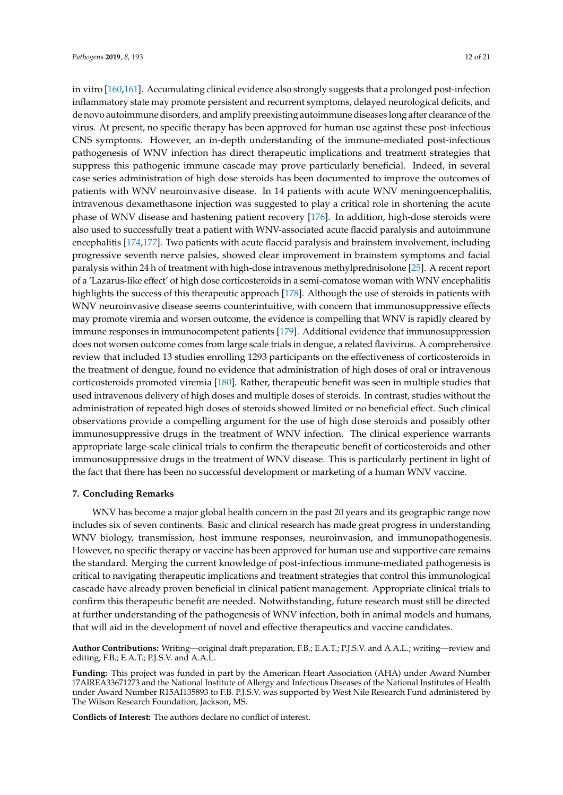in vitro [\[160,](#page-20-19)[161\]](#page-20-18). Accumulating clinical evidence also strongly suggests that a prolonged post-infection inflammatory state may promote persistent and recurrent symptoms, delayed neurological deficits, and de novo autoimmune disorders, and amplify preexisting autoimmune diseases long after clearance of the virus. At present, no specific therapy has been approved for human use against these post-infectious CNS symptoms. However, an in-depth understanding of the immune-mediated post-infectious pathogenesis of WNV infection has direct therapeutic implications and treatment strategies that suppress this pathogenic immune cascade may prove particularly beneficial. Indeed, in several case series administration of high dose steroids has been documented to improve the outcomes of patients with WNV neuroinvasive disease. In 14 patients with acute WNV meningoencephalitis, intravenous dexamethasone injection was suggested to play a critical role in shortening the acute phase of WNV disease and hastening patient recovery [\[176\]](#page-21-14). In addition, high-dose steroids were also used to successfully treat a patient with WNV-associated acute flaccid paralysis and autoimmune encephalitis [\[174](#page-21-12)[,177\]](#page-21-15). Two patients with acute flaccid paralysis and brainstem involvement, including progressive seventh nerve palsies, showed clear improvement in brainstem symptoms and facial paralysis within 24 h of treatment with high-dose intravenous methylprednisolone [\[25\]](#page-14-0). A recent report of a 'Lazarus-like effect' of high dose corticosteroids in a semi-comatose woman with WNV encephalitis highlights the success of this therapeutic approach [\[178\]](#page-21-16). Although the use of steroids in patients with WNV neuroinvasive disease seems counterintuitive, with concern that immunosuppressive effects may promote viremia and worsen outcome, the evidence is compelling that WNV is rapidly cleared by immune responses in immunocompetent patients [\[179\]](#page-21-17). Additional evidence that immunosuppression does not worsen outcome comes from large scale trials in dengue, a related flavivirus. A comprehensive review that included 13 studies enrolling 1293 participants on the effectiveness of corticosteroids in the treatment of dengue, found no evidence that administration of high doses of oral or intravenous corticosteroids promoted viremia [\[180\]](#page-21-18). Rather, therapeutic benefit was seen in multiple studies that used intravenous delivery of high doses and multiple doses of steroids. In contrast, studies without the administration of repeated high doses of steroids showed limited or no beneficial effect. Such clinical observations provide a compelling argument for the use of high dose steroids and possibly other immunosuppressive drugs in the treatment of WNV infection. The clinical experience warrants appropriate large-scale clinical trials to confirm the therapeutic benefit of corticosteroids and other immunosuppressive drugs in the treatment of WNV disease. This is particularly pertinent in light of the fact that there has been no successful development or marketing of a human WNV vaccine.

#### **7. Concluding Remarks**

WNV has become a major global health concern in the past 20 years and its geographic range now includes six of seven continents. Basic and clinical research has made great progress in understanding WNV biology, transmission, host immune responses, neuroinvasion, and immunopathogenesis. However, no specific therapy or vaccine has been approved for human use and supportive care remains the standard. Merging the current knowledge of post-infectious immune-mediated pathogenesis is critical to navigating therapeutic implications and treatment strategies that control this immunological cascade have already proven beneficial in clinical patient management. Appropriate clinical trials to confirm this therapeutic benefit are needed. Notwithstanding, future research must still be directed at further understanding of the pathogenesis of WNV infection, both in animal models and humans, that will aid in the development of novel and effective therapeutics and vaccine candidates.

**Author Contributions:** Writing—original draft preparation, F.B.; E.A.T.; P.J.S.V. and A.A.L.; writing—review and editing, F.B.; E.A.T.; P.J.S.V. and A.A.L.

**Funding:** This project was funded in part by the American Heart Association (AHA) under Award Number 17AIREA33671273 and the National Institute of Allergy and Infectious Diseases of the National Institutes of Health under Award Number R15AI135893 to F.B. P.J.S.V. was supported by West Nile Research Fund administered by The Wilson Research Foundation, Jackson, MS.

**Conflicts of Interest:** The authors declare no conflict of interest.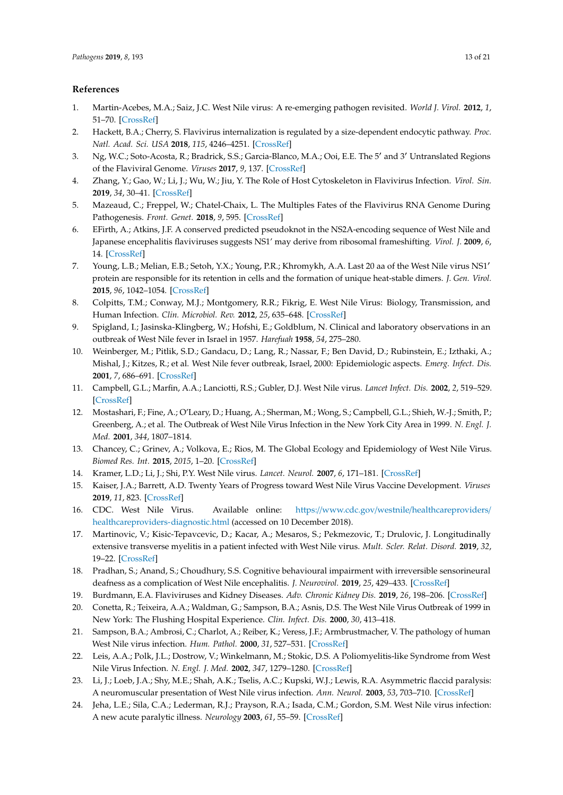#### **References**

- <span id="page-13-0"></span>1. Martin-Acebes, M.A.; Saiz, J.C. West Nile virus: A re-emerging pathogen revisited. *World J. Virol.* **2012**, *1*, 51–70. [\[CrossRef\]](http://dx.doi.org/10.5501/wjv.v1.i2.51)
- 2. Hackett, B.A.; Cherry, S. Flavivirus internalization is regulated by a size-dependent endocytic pathway. *Proc. Natl. Acad. Sci. USA* **2018**, *115*, 4246–4251. [\[CrossRef\]](http://dx.doi.org/10.1073/pnas.1720032115)
- <span id="page-13-1"></span>3. Ng, W.C.; Soto-Acosta, R.; Bradrick, S.S.; Garcia-Blanco, M.A.; Ooi, E.E. The 5' and 3' Untranslated Regions of the Flaviviral Genome. *Viruses* **2017**, *9*, 137. [\[CrossRef\]](http://dx.doi.org/10.3390/v9060137)
- <span id="page-13-2"></span>4. Zhang, Y.; Gao, W.; Li, J.; Wu, W.; Jiu, Y. The Role of Host Cytoskeleton in Flavivirus Infection. *Virol. Sin.* **2019**, *34*, 30–41. [\[CrossRef\]](http://dx.doi.org/10.1007/s12250-019-00086-4)
- <span id="page-13-3"></span>5. Mazeaud, C.; Freppel, W.; Chatel-Chaix, L. The Multiples Fates of the Flavivirus RNA Genome During Pathogenesis. *Front. Genet.* **2018**, *9*, 595. [\[CrossRef\]](http://dx.doi.org/10.3389/fgene.2018.00595)
- <span id="page-13-4"></span>6. EFirth, A.; Atkins, J.F. A conserved predicted pseudoknot in the NS2A-encoding sequence of West Nile and Japanese encephalitis flaviviruses suggests NS1' may derive from ribosomal frameshifting. *Virol. J.* **2009**, *6*, 14. [\[CrossRef\]](http://dx.doi.org/10.1186/1743-422X-6-14)
- <span id="page-13-5"></span>7. Young, L.B.; Melian, E.B.; Setoh, Y.X.; Young, P.R.; Khromykh, A.A. Last 20 aa of the West Nile virus NS1<sup>0</sup> protein are responsible for its retention in cells and the formation of unique heat-stable dimers. *J. Gen. Virol.* **2015**, *96*, 1042–1054. [\[CrossRef\]](http://dx.doi.org/10.1099/vir.0.000053)
- <span id="page-13-6"></span>8. Colpitts, T.M.; Conway, M.J.; Montgomery, R.R.; Fikrig, E. West Nile Virus: Biology, Transmission, and Human Infection. *Clin. Microbiol. Rev.* **2012**, *25*, 635–648. [\[CrossRef\]](http://dx.doi.org/10.1128/CMR.00045-12)
- <span id="page-13-7"></span>9. Spigland, I.; Jasinska-Klingberg, W.; Hofshi, E.; Goldblum, N. Clinical and laboratory observations in an outbreak of West Nile fever in Israel in 1957. *Harefuah* **1958**, *54*, 275–280.
- <span id="page-13-8"></span>10. Weinberger, M.; Pitlik, S.D.; Gandacu, D.; Lang, R.; Nassar, F.; Ben David, D.; Rubinstein, E.; Izthaki, A.; Mishal, J.; Kitzes, R.; et al. West Nile fever outbreak, Israel, 2000: Epidemiologic aspects. *Emerg. Infect. Dis.* **2001**, *7*, 686–691. [\[CrossRef\]](http://dx.doi.org/10.3201/eid0704.017416)
- <span id="page-13-9"></span>11. Campbell, G.L.; Marfin, A.A.; Lanciotti, R.S.; Gubler, D.J. West Nile virus. *Lancet Infect. Dis.* **2002**, *2*, 519–529. [\[CrossRef\]](http://dx.doi.org/10.1016/S1473-3099(02)00368-7)
- <span id="page-13-10"></span>12. Mostashari, F.; Fine, A.; O'Leary, D.; Huang, A.; Sherman, M.; Wong, S.; Campbell, G.L.; Shieh, W.-J.; Smith, P.; Greenberg, A.; et al. The Outbreak of West Nile Virus Infection in the New York City Area in 1999. *N. Engl. J. Med.* **2001**, *344*, 1807–1814.
- <span id="page-13-11"></span>13. Chancey, C.; Grinev, A.; Volkova, E.; Rios, M. The Global Ecology and Epidemiology of West Nile Virus. *Biomed Res. Int.* **2015**, *2015*, 1–20. [\[CrossRef\]](http://dx.doi.org/10.1155/2015/376230)
- <span id="page-13-12"></span>14. Kramer, L.D.; Li, J.; Shi, P.Y. West Nile virus. *Lancet. Neurol.* **2007**, *6*, 171–181. [\[CrossRef\]](http://dx.doi.org/10.1016/S1474-4422(07)70030-3)
- <span id="page-13-13"></span>15. Kaiser, J.A.; Barrett, A.D. Twenty Years of Progress toward West Nile Virus Vaccine Development. *Viruses* **2019**, *11*, 823. [\[CrossRef\]](http://dx.doi.org/10.3390/v11090823)
- <span id="page-13-14"></span>16. CDC. West Nile Virus. Available online: https://www.cdc.gov/westnile/[healthcareproviders](https://www.cdc.gov/westnile/healthcareproviders/healthcareproviders-diagnostic.html)/ [healthcareproviders-diagnostic.html](https://www.cdc.gov/westnile/healthcareproviders/healthcareproviders-diagnostic.html) (accessed on 10 December 2018).
- <span id="page-13-15"></span>17. Martinovic, V.; Kisic-Tepavcevic, D.; Kacar, A.; Mesaros, S.; Pekmezovic, T.; Drulovic, J. Longitudinally extensive transverse myelitis in a patient infected with West Nile virus. *Mult. Scler. Relat. Disord.* **2019**, *32*, 19–22. [\[CrossRef\]](http://dx.doi.org/10.1016/j.msard.2019.04.007)
- <span id="page-13-16"></span>18. Pradhan, S.; Anand, S.; Choudhury, S.S. Cognitive behavioural impairment with irreversible sensorineural deafness as a complication of West Nile encephalitis. *J. Neurovirol.* **2019**, *25*, 429–433. [\[CrossRef\]](http://dx.doi.org/10.1007/s13365-019-00733-2)
- <span id="page-13-17"></span>19. Burdmann, E.A. Flaviviruses and Kidney Diseases. *Adv. Chronic Kidney Dis.* **2019**, *26*, 198–206. [\[CrossRef\]](http://dx.doi.org/10.1053/j.ackd.2019.01.002)
- <span id="page-13-18"></span>20. Conetta, R.; Teixeira, A.A.; Waldman, G.; Sampson, B.A.; Asnis, D.S. The West Nile Virus Outbreak of 1999 in New York: The Flushing Hospital Experience. *Clin. Infect. Dis.* **2000**, *30*, 413–418.
- <span id="page-13-19"></span>21. Sampson, B.A.; Ambrosi, C.; Charlot, A.; Reiber, K.; Veress, J.F.; Armbrustmacher, V. The pathology of human West Nile virus infection. *Hum. Pathol.* **2000**, *31*, 527–531. [\[CrossRef\]](http://dx.doi.org/10.1053/hp.2000.8047)
- <span id="page-13-20"></span>22. Leis, A.A.; Polk, J.L.; Dostrow, V.; Winkelmann, M.; Stokic, D.S. A Poliomyelitis-like Syndrome from West Nile Virus Infection. *N. Engl. J. Med.* **2002**, *347*, 1279–1280. [\[CrossRef\]](http://dx.doi.org/10.1056/NEJM2002c021587)
- 23. Li, J.; Loeb, J.A.; Shy, M.E.; Shah, A.K.; Tselis, A.C.; Kupski, W.J.; Lewis, R.A. Asymmetric flaccid paralysis: A neuromuscular presentation of West Nile virus infection. *Ann. Neurol.* **2003**, *53*, 703–710. [\[CrossRef\]](http://dx.doi.org/10.1002/ana.10575)
- <span id="page-13-21"></span>24. Jeha, L.E.; Sila, C.A.; Lederman, R.J.; Prayson, R.A.; Isada, C.M.; Gordon, S.M. West Nile virus infection: A new acute paralytic illness. *Neurology* **2003**, *61*, 55–59. [\[CrossRef\]](http://dx.doi.org/10.1212/01.WNL.0000073617.08185.0A)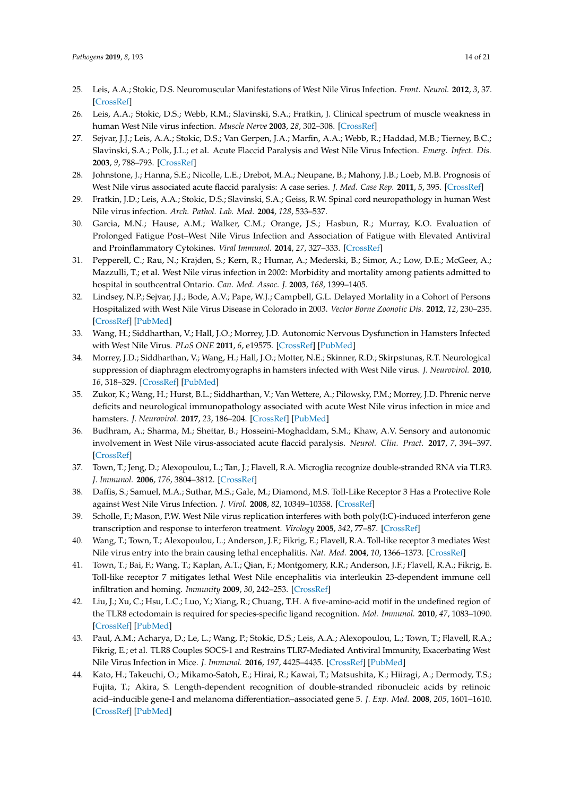- <span id="page-14-0"></span>25. Leis, A.A.; Stokic, D.S. Neuromuscular Manifestations of West Nile Virus Infection. *Front. Neurol.* **2012**, *3*, 37. [\[CrossRef\]](http://dx.doi.org/10.3389/fneur.2012.00037)
- <span id="page-14-1"></span>26. Leis, A.A.; Stokic, D.S.; Webb, R.M.; Slavinski, S.A.; Fratkin, J. Clinical spectrum of muscle weakness in human West Nile virus infection. *Muscle Nerve* **2003**, *28*, 302–308. [\[CrossRef\]](http://dx.doi.org/10.1002/mus.10440)
- <span id="page-14-2"></span>27. Sejvar, J.J.; Leis, A.A.; Stokic, D.S.; Van Gerpen, J.A.; Marfin, A.A.; Webb, R.; Haddad, M.B.; Tierney, B.C.; Slavinski, S.A.; Polk, J.L.; et al. Acute Flaccid Paralysis and West Nile Virus Infection. *Emerg. Infect. Dis.* **2003**, *9*, 788–793. [\[CrossRef\]](http://dx.doi.org/10.3201/eid0907.030129)
- <span id="page-14-3"></span>28. Johnstone, J.; Hanna, S.E.; Nicolle, L.E.; Drebot, M.A.; Neupane, B.; Mahony, J.B.; Loeb, M.B. Prognosis of West Nile virus associated acute flaccid paralysis: A case series. *J. Med. Case Rep.* **2011**, *5*, 395. [\[CrossRef\]](http://dx.doi.org/10.1186/1752-1947-5-395)
- <span id="page-14-4"></span>29. Fratkin, J.D.; Leis, A.A.; Stokic, D.S.; Slavinski, S.A.; Geiss, R.W. Spinal cord neuropathology in human West Nile virus infection. *Arch. Pathol. Lab. Med.* **2004**, *128*, 533–537.
- <span id="page-14-5"></span>30. Garcia, M.N.; Hause, A.M.; Walker, C.M.; Orange, J.S.; Hasbun, R.; Murray, K.O. Evaluation of Prolonged Fatigue Post–West Nile Virus Infection and Association of Fatigue with Elevated Antiviral and Proinflammatory Cytokines. *Viral Immunol.* **2014**, *27*, 327–333. [\[CrossRef\]](http://dx.doi.org/10.1089/vim.2014.0035)
- <span id="page-14-6"></span>31. Pepperell, C.; Rau, N.; Krajden, S.; Kern, R.; Humar, A.; Mederski, B.; Simor, A.; Low, D.E.; McGeer, A.; Mazzulli, T.; et al. West Nile virus infection in 2002: Morbidity and mortality among patients admitted to hospital in southcentral Ontario. *Can. Med. Assoc. J.* **2003**, *168*, 1399–1405.
- <span id="page-14-7"></span>32. Lindsey, N.P.; Sejvar, J.J.; Bode, A.V.; Pape, W.J.; Campbell, G.L. Delayed Mortality in a Cohort of Persons Hospitalized with West Nile Virus Disease in Colorado in 2003. *Vector Borne Zoonotic Dis.* **2012**, *12*, 230–235. [\[CrossRef\]](http://dx.doi.org/10.1089/vbz.2011.0721) [\[PubMed\]](http://www.ncbi.nlm.nih.gov/pubmed/22022816)
- <span id="page-14-8"></span>33. Wang, H.; Siddharthan, V.; Hall, J.O.; Morrey, J.D. Autonomic Nervous Dysfunction in Hamsters Infected with West Nile Virus. *PLoS ONE* **2011**, *6*, e19575. [\[CrossRef\]](http://dx.doi.org/10.1371/journal.pone.0019575) [\[PubMed\]](http://www.ncbi.nlm.nih.gov/pubmed/21573009)
- <span id="page-14-9"></span>34. Morrey, J.D.; Siddharthan, V.; Wang, H.; Hall, J.O.; Motter, N.E.; Skinner, R.D.; Skirpstunas, R.T. Neurological suppression of diaphragm electromyographs in hamsters infected with West Nile virus. *J. Neurovirol.* **2010**, *16*, 318–329. [\[CrossRef\]](http://dx.doi.org/10.3109/13550284.2010.501847) [\[PubMed\]](http://www.ncbi.nlm.nih.gov/pubmed/20632796)
- <span id="page-14-10"></span>35. Zukor, K.; Wang, H.; Hurst, B.L.; Siddharthan, V.; Van Wettere, A.; Pilowsky, P.M.; Morrey, J.D. Phrenic nerve deficits and neurological immunopathology associated with acute West Nile virus infection in mice and hamsters. *J. Neurovirol.* **2017**, *23*, 186–204. [\[CrossRef\]](http://dx.doi.org/10.1007/s13365-016-0488-6) [\[PubMed\]](http://www.ncbi.nlm.nih.gov/pubmed/27761801)
- <span id="page-14-11"></span>36. Budhram, A.; Sharma, M.; Shettar, B.; Hosseini-Moghaddam, S.M.; Khaw, A.V. Sensory and autonomic involvement in West Nile virus-associated acute flaccid paralysis. *Neurol. Clin. Pract.* **2017**, *7*, 394–397. [\[CrossRef\]](http://dx.doi.org/10.1212/CPJ.0000000000000373)
- <span id="page-14-12"></span>37. Town, T.; Jeng, D.; Alexopoulou, L.; Tan, J.; Flavell, R.A. Microglia recognize double-stranded RNA via TLR3. *J. Immunol.* **2006**, *176*, 3804–3812. [\[CrossRef\]](http://dx.doi.org/10.4049/jimmunol.176.6.3804)
- <span id="page-14-13"></span>38. Daffis, S.; Samuel, M.A.; Suthar, M.S.; Gale, M.; Diamond, M.S. Toll-Like Receptor 3 Has a Protective Role against West Nile Virus Infection. *J. Virol.* **2008**, *82*, 10349–10358. [\[CrossRef\]](http://dx.doi.org/10.1128/JVI.00935-08)
- <span id="page-14-19"></span>39. Scholle, F.; Mason, P.W. West Nile virus replication interferes with both poly(I:C)-induced interferon gene transcription and response to interferon treatment. *Virology* **2005**, *342*, 77–87. [\[CrossRef\]](http://dx.doi.org/10.1016/j.virol.2005.07.021)
- <span id="page-14-14"></span>40. Wang, T.; Town, T.; Alexopoulou, L.; Anderson, J.F.; Fikrig, E.; Flavell, R.A. Toll-like receptor 3 mediates West Nile virus entry into the brain causing lethal encephalitis. *Nat. Med.* **2004**, *10*, 1366–1373. [\[CrossRef\]](http://dx.doi.org/10.1038/nm1140)
- <span id="page-14-15"></span>41. Town, T.; Bai, F.; Wang, T.; Kaplan, A.T.; Qian, F.; Montgomery, R.R.; Anderson, J.F.; Flavell, R.A.; Fikrig, E. Toll-like receptor 7 mitigates lethal West Nile encephalitis via interleukin 23-dependent immune cell infiltration and homing. *Immunity* **2009**, *30*, 242–253. [\[CrossRef\]](http://dx.doi.org/10.1016/j.immuni.2008.11.012)
- <span id="page-14-16"></span>42. Liu, J.; Xu, C.; Hsu, L.C.; Luo, Y.; Xiang, R.; Chuang, T.H. A five-amino-acid motif in the undefined region of the TLR8 ectodomain is required for species-specific ligand recognition. *Mol. Immunol.* **2010**, *47*, 1083–1090. [\[CrossRef\]](http://dx.doi.org/10.1016/j.molimm.2009.11.003) [\[PubMed\]](http://www.ncbi.nlm.nih.gov/pubmed/20004021)
- <span id="page-14-17"></span>43. Paul, A.M.; Acharya, D.; Le, L.; Wang, P.; Stokic, D.S.; Leis, A.A.; Alexopoulou, L.; Town, T.; Flavell, R.A.; Fikrig, E.; et al. TLR8 Couples SOCS-1 and Restrains TLR7-Mediated Antiviral Immunity, Exacerbating West Nile Virus Infection in Mice. *J. Immunol.* **2016**, *197*, 4425–4435. [\[CrossRef\]](http://dx.doi.org/10.4049/jimmunol.1600902) [\[PubMed\]](http://www.ncbi.nlm.nih.gov/pubmed/27798161)
- <span id="page-14-18"></span>44. Kato, H.; Takeuchi, O.; Mikamo-Satoh, E.; Hirai, R.; Kawai, T.; Matsushita, K.; Hiiragi, A.; Dermody, T.S.; Fujita, T.; Akira, S. Length-dependent recognition of double-stranded ribonucleic acids by retinoic acid–inducible gene-I and melanoma differentiation–associated gene 5. *J. Exp. Med.* **2008**, *205*, 1601–1610. [\[CrossRef\]](http://dx.doi.org/10.1084/jem.20080091) [\[PubMed\]](http://www.ncbi.nlm.nih.gov/pubmed/18591409)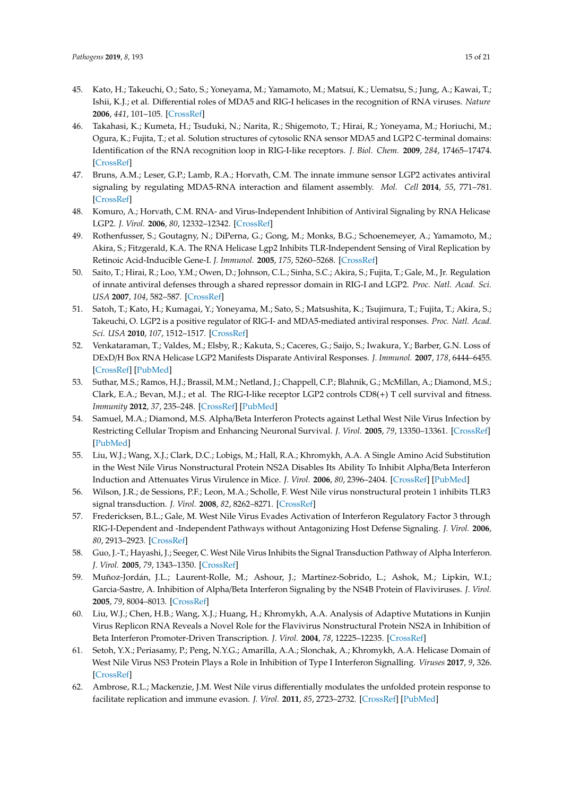- <span id="page-15-0"></span>45. Kato, H.; Takeuchi, O.; Sato, S.; Yoneyama, M.; Yamamoto, M.; Matsui, K.; Uematsu, S.; Jung, A.; Kawai, T.; Ishii, K.J.; et al. Differential roles of MDA5 and RIG-I helicases in the recognition of RNA viruses. *Nature* **2006**, *441*, 101–105. [\[CrossRef\]](http://dx.doi.org/10.1038/nature04734)
- <span id="page-15-1"></span>46. Takahasi, K.; Kumeta, H.; Tsuduki, N.; Narita, R.; Shigemoto, T.; Hirai, R.; Yoneyama, M.; Horiuchi, M.; Ogura, K.; Fujita, T.; et al. Solution structures of cytosolic RNA sensor MDA5 and LGP2 C-terminal domains: Identification of the RNA recognition loop in RIG-I-like receptors. *J. Biol. Chem.* **2009**, *284*, 17465–17474. [\[CrossRef\]](http://dx.doi.org/10.1074/jbc.M109.007179)
- <span id="page-15-2"></span>47. Bruns, A.M.; Leser, G.P.; Lamb, R.A.; Horvath, C.M. The innate immune sensor LGP2 activates antiviral signaling by regulating MDA5-RNA interaction and filament assembly. *Mol. Cell* **2014**, *55*, 771–781. [\[CrossRef\]](http://dx.doi.org/10.1016/j.molcel.2014.07.003)
- 48. Komuro, A.; Horvath, C.M. RNA- and Virus-Independent Inhibition of Antiviral Signaling by RNA Helicase LGP2. *J. Virol.* **2006**, *80*, 12332–12342. [\[CrossRef\]](http://dx.doi.org/10.1128/JVI.01325-06)
- 49. Rothenfusser, S.; Goutagny, N.; DiPerna, G.; Gong, M.; Monks, B.G.; Schoenemeyer, A.; Yamamoto, M.; Akira, S.; Fitzgerald, K.A. The RNA Helicase Lgp2 Inhibits TLR-Independent Sensing of Viral Replication by Retinoic Acid-Inducible Gene-I. *J. Immunol.* **2005**, *175*, 5260–5268. [\[CrossRef\]](http://dx.doi.org/10.4049/jimmunol.175.8.5260)
- 50. Saito, T.; Hirai, R.; Loo, Y.M.; Owen, D.; Johnson, C.L.; Sinha, S.C.; Akira, S.; Fujita, T.; Gale, M., Jr. Regulation of innate antiviral defenses through a shared repressor domain in RIG-I and LGP2. *Proc. Natl. Acad. Sci. USA* **2007**, *104*, 582–587. [\[CrossRef\]](http://dx.doi.org/10.1073/pnas.0606699104)
- 51. Satoh, T.; Kato, H.; Kumagai, Y.; Yoneyama, M.; Sato, S.; Matsushita, K.; Tsujimura, T.; Fujita, T.; Akira, S.; Takeuchi, O. LGP2 is a positive regulator of RIG-I- and MDA5-mediated antiviral responses. *Proc. Natl. Acad. Sci. USA* **2010**, *107*, 1512–1517. [\[CrossRef\]](http://dx.doi.org/10.1073/pnas.0912986107)
- <span id="page-15-3"></span>52. Venkataraman, T.; Valdes, M.; Elsby, R.; Kakuta, S.; Caceres, G.; Saijo, S.; Iwakura, Y.; Barber, G.N. Loss of DExD/H Box RNA Helicase LGP2 Manifests Disparate Antiviral Responses. *J. Immunol.* **2007**, *178*, 6444–6455. [\[CrossRef\]](http://dx.doi.org/10.4049/jimmunol.178.10.6444) [\[PubMed\]](http://www.ncbi.nlm.nih.gov/pubmed/17475874)
- <span id="page-15-4"></span>53. Suthar, M.S.; Ramos, H.J.; Brassil, M.M.; Netland, J.; Chappell, C.P.; Blahnik, G.; McMillan, A.; Diamond, M.S.; Clark, E.A.; Bevan, M.J.; et al. The RIG-I-like receptor LGP2 controls CD8(+) T cell survival and fitness. *Immunity* **2012**, *37*, 235–248. [\[CrossRef\]](http://dx.doi.org/10.1016/j.immuni.2012.07.004) [\[PubMed\]](http://www.ncbi.nlm.nih.gov/pubmed/22841161)
- <span id="page-15-5"></span>54. Samuel, M.A.; Diamond, M.S. Alpha/Beta Interferon Protects against Lethal West Nile Virus Infection by Restricting Cellular Tropism and Enhancing Neuronal Survival. *J. Virol.* **2005**, *79*, 13350–13361. [\[CrossRef\]](http://dx.doi.org/10.1128/JVI.79.21.13350-13361.2005) [\[PubMed\]](http://www.ncbi.nlm.nih.gov/pubmed/16227257)
- <span id="page-15-6"></span>55. Liu, W.J.; Wang, X.J.; Clark, D.C.; Lobigs, M.; Hall, R.A.; Khromykh, A.A. A Single Amino Acid Substitution in the West Nile Virus Nonstructural Protein NS2A Disables Its Ability To Inhibit Alpha/Beta Interferon Induction and Attenuates Virus Virulence in Mice. *J. Virol.* **2006**, *80*, 2396–2404. [\[CrossRef\]](http://dx.doi.org/10.1128/JVI.80.5.2396-2404.2006) [\[PubMed\]](http://www.ncbi.nlm.nih.gov/pubmed/16474146)
- 56. Wilson, J.R.; de Sessions, P.F.; Leon, M.A.; Scholle, F. West Nile virus nonstructural protein 1 inhibits TLR3 signal transduction. *J. Virol.* **2008**, *82*, 8262–8271. [\[CrossRef\]](http://dx.doi.org/10.1128/JVI.00226-08)
- 57. Fredericksen, B.L.; Gale, M. West Nile Virus Evades Activation of Interferon Regulatory Factor 3 through RIG-I-Dependent and -Independent Pathways without Antagonizing Host Defense Signaling. *J. Virol.* **2006**, *80*, 2913–2923. [\[CrossRef\]](http://dx.doi.org/10.1128/JVI.80.6.2913-2923.2006)
- 58. Guo, J.-T.; Hayashi, J.; Seeger, C. West Nile Virus Inhibits the Signal Transduction Pathway of Alpha Interferon. *J. Virol.* **2005**, *79*, 1343–1350. [\[CrossRef\]](http://dx.doi.org/10.1128/JVI.79.3.1343-1350.2005)
- <span id="page-15-7"></span>59. Muñoz-Jordán, J.L.; Laurent-Rolle, M.; Ashour, J.; Martínez-Sobrido, L.; Ashok, M.; Lipkin, W.I.; Garcia-Sastre, A. Inhibition of Alpha/Beta Interferon Signaling by the NS4B Protein of Flaviviruses. *J. Virol.* **2005**, *79*, 8004–8013. [\[CrossRef\]](http://dx.doi.org/10.1128/JVI.79.13.8004-8013.2005)
- <span id="page-15-8"></span>60. Liu, W.J.; Chen, H.B.; Wang, X.J.; Huang, H.; Khromykh, A.A. Analysis of Adaptive Mutations in Kunjin Virus Replicon RNA Reveals a Novel Role for the Flavivirus Nonstructural Protein NS2A in Inhibition of Beta Interferon Promoter-Driven Transcription. *J. Virol.* **2004**, *78*, 12225–12235. [\[CrossRef\]](http://dx.doi.org/10.1128/JVI.78.22.12225-12235.2004)
- 61. Setoh, Y.X.; Periasamy, P.; Peng, N.Y.G.; Amarilla, A.A.; Slonchak, A.; Khromykh, A.A. Helicase Domain of West Nile Virus NS3 Protein Plays a Role in Inhibition of Type I Interferon Signalling. *Viruses* **2017**, *9*, 326. [\[CrossRef\]](http://dx.doi.org/10.3390/v9110326)
- 62. Ambrose, R.L.; Mackenzie, J.M. West Nile virus differentially modulates the unfolded protein response to facilitate replication and immune evasion. *J. Virol.* **2011**, *85*, 2723–2732. [\[CrossRef\]](http://dx.doi.org/10.1128/JVI.02050-10) [\[PubMed\]](http://www.ncbi.nlm.nih.gov/pubmed/21191014)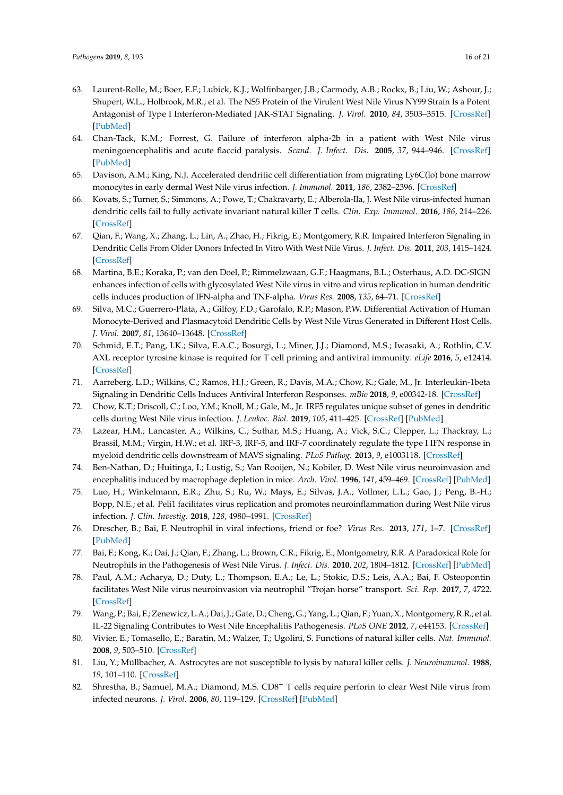- <span id="page-16-0"></span>63. Laurent-Rolle, M.; Boer, E.F.; Lubick, K.J.; Wolfinbarger, J.B.; Carmody, A.B.; Rockx, B.; Liu, W.; Ashour, J.; Shupert, W.L.; Holbrook, M.R.; et al. The NS5 Protein of the Virulent West Nile Virus NY99 Strain Is a Potent Antagonist of Type I Interferon-Mediated JAK-STAT Signaling. *J. Virol.* **2010**, *84*, 3503–3515. [\[CrossRef\]](http://dx.doi.org/10.1128/JVI.01161-09) [\[PubMed\]](http://www.ncbi.nlm.nih.gov/pubmed/20106931)
- <span id="page-16-1"></span>64. Chan-Tack, K.M.; Forrest, G. Failure of interferon alpha-2b in a patient with West Nile virus meningoencephalitis and acute flaccid paralysis. *Scand. J. Infect. Dis.* **2005**, *37*, 944–946. [\[CrossRef\]](http://dx.doi.org/10.1080/00365540500262690) [\[PubMed\]](http://www.ncbi.nlm.nih.gov/pubmed/16308241)
- <span id="page-16-2"></span>65. Davison, A.M.; King, N.J. Accelerated dendritic cell differentiation from migrating Ly6C(lo) bone marrow monocytes in early dermal West Nile virus infection. *J. Immunol.* **2011**, *186*, 2382–2396. [\[CrossRef\]](http://dx.doi.org/10.4049/jimmunol.1002682)
- <span id="page-16-3"></span>66. Kovats, S.; Turner, S.; Simmons, A.; Powe, T.; Chakravarty, E.; Alberola-Ila, J. West Nile virus-infected human dendritic cells fail to fully activate invariant natural killer T cells. *Clin. Exp. Immunol.* **2016**, *186*, 214–226. [\[CrossRef\]](http://dx.doi.org/10.1111/cei.12850)
- <span id="page-16-5"></span>67. Qian, F.; Wang, X.; Zhang, L.; Lin, A.; Zhao, H.; Fikrig, E.; Montgomery, R.R. Impaired Interferon Signaling in Dendritic Cells From Older Donors Infected In Vitro With West Nile Virus. *J. Infect. Dis.* **2011**, *203*, 1415–1424. [\[CrossRef\]](http://dx.doi.org/10.1093/infdis/jir048)
- 68. Martina, B.E.; Koraka, P.; van den Doel, P.; Rimmelzwaan, G.F.; Haagmans, B.L.; Osterhaus, A.D. DC-SIGN enhances infection of cells with glycosylated West Nile virus in vitro and virus replication in human dendritic cells induces production of IFN-alpha and TNF-alpha. *Virus Res.* **2008**, *135*, 64–71. [\[CrossRef\]](http://dx.doi.org/10.1016/j.virusres.2008.02.008)
- <span id="page-16-4"></span>69. Silva, M.C.; Guerrero-Plata, A.; Gilfoy, F.D.; Garofalo, R.P.; Mason, P.W. Differential Activation of Human Monocyte-Derived and Plasmacytoid Dendritic Cells by West Nile Virus Generated in Different Host Cells. *J. Virol.* **2007**, *81*, 13640–13648. [\[CrossRef\]](http://dx.doi.org/10.1128/JVI.00857-07)
- <span id="page-16-6"></span>70. Schmid, E.T.; Pang, I.K.; Silva, E.A.C.; Bosurgi, L.; Miner, J.J.; Diamond, M.S.; Iwasaki, A.; Rothlin, C.V. AXL receptor tyrosine kinase is required for T cell priming and antiviral immunity. *eLife* **2016**, *5*, e12414. [\[CrossRef\]](http://dx.doi.org/10.7554/eLife.12414)
- <span id="page-16-7"></span>71. Aarreberg, L.D.; Wilkins, C.; Ramos, H.J.; Green, R.; Davis, M.A.; Chow, K.; Gale, M., Jr. Interleukin-1beta Signaling in Dendritic Cells Induces Antiviral Interferon Responses. *mBio* **2018**, *9*, e00342-18. [\[CrossRef\]](http://dx.doi.org/10.1128/mBio.00342-18)
- 72. Chow, K.T.; Driscoll, C.; Loo, Y.M.; Knoll, M.; Gale, M., Jr. IRF5 regulates unique subset of genes in dendritic cells during West Nile virus infection. *J. Leukoc. Biol.* **2019**, *105*, 411–425. [\[CrossRef\]](http://dx.doi.org/10.1002/JLB.MA0318-136RRR) [\[PubMed\]](http://www.ncbi.nlm.nih.gov/pubmed/30457675)
- <span id="page-16-8"></span>73. Lazear, H.M.; Lancaster, A.; Wilkins, C.; Suthar, M.S.; Huang, A.; Vick, S.C.; Clepper, L.; Thackray, L.; Brassil, M.M.; Virgin, H.W.; et al. IRF-3, IRF-5, and IRF-7 coordinately regulate the type I IFN response in myeloid dendritic cells downstream of MAVS signaling. *PLoS Pathog.* **2013**, *9*, e1003118. [\[CrossRef\]](http://dx.doi.org/10.1371/annotation/4de7ddfd-52df-4f87-8ca4-d48afe646ca8)
- <span id="page-16-9"></span>74. Ben-Nathan, D.; Huitinga, I.; Lustig, S.; Van Rooijen, N.; Kobiler, D. West Nile virus neuroinvasion and encephalitis induced by macrophage depletion in mice. *Arch. Virol.* **1996**, *141*, 459–469. [\[CrossRef\]](http://dx.doi.org/10.1007/BF01718310) [\[PubMed\]](http://www.ncbi.nlm.nih.gov/pubmed/8645088)
- <span id="page-16-10"></span>75. Luo, H.; Winkelmann, E.R.; Zhu, S.; Ru, W.; Mays, E.; Silvas, J.A.; Vollmer, L.L.; Gao, J.; Peng, B.-H.; Bopp, N.E.; et al. Peli1 facilitates virus replication and promotes neuroinflammation during West Nile virus infection. *J. Clin. Investig.* **2018**, *128*, 4980–4991. [\[CrossRef\]](http://dx.doi.org/10.1172/JCI99902)
- <span id="page-16-11"></span>76. Drescher, B.; Bai, F. Neutrophil in viral infections, friend or foe? *Virus Res.* **2013**, *171*, 1–7. [\[CrossRef\]](http://dx.doi.org/10.1016/j.virusres.2012.11.002) [\[PubMed\]](http://www.ncbi.nlm.nih.gov/pubmed/23178588)
- <span id="page-16-12"></span>77. Bai, F.; Kong, K.; Dai, J.; Qian, F.; Zhang, L.; Brown, C.R.; Fikrig, E.; Montgometry, R.R. A Paradoxical Role for Neutrophils in the Pathogenesis of West Nile Virus. *J. Infect. Dis.* **2010**, *202*, 1804–1812. [\[CrossRef\]](http://dx.doi.org/10.1086/657416) [\[PubMed\]](http://www.ncbi.nlm.nih.gov/pubmed/21050124)
- <span id="page-16-13"></span>78. Paul, A.M.; Acharya, D.; Duty, L.; Thompson, E.A.; Le, L.; Stokic, D.S.; Leis, A.A.; Bai, F. Osteopontin facilitates West Nile virus neuroinvasion via neutrophil "Trojan horse" transport. *Sci. Rep.* **2017**, *7*, 4722. [\[CrossRef\]](http://dx.doi.org/10.1038/s41598-017-04839-7)
- <span id="page-16-14"></span>79. Wang, P.; Bai, F.; Zenewicz, L.A.; Dai, J.; Gate, D.; Cheng, G.; Yang, L.; Qian, F.; Yuan, X.; Montgomery, R.R.; et al. IL-22 Signaling Contributes to West Nile Encephalitis Pathogenesis. *PLoS ONE* **2012**, *7*, e44153. [\[CrossRef\]](http://dx.doi.org/10.1371/journal.pone.0044153)
- <span id="page-16-15"></span>80. Vivier, E.; Tomasello, E.; Baratin, M.; Walzer, T.; Ugolini, S. Functions of natural killer cells. *Nat. Immunol.* **2008**, *9*, 503–510. [\[CrossRef\]](http://dx.doi.org/10.1038/ni1582)
- <span id="page-16-16"></span>81. Liu, Y.; Müllbacher, A. Astrocytes are not susceptible to lysis by natural killer cells. *J. Neuroimmunol.* **1988**, *19*, 101–110. [\[CrossRef\]](http://dx.doi.org/10.1016/0165-5728(88)90039-2)
- <span id="page-16-17"></span>82. Shrestha, B.; Samuel, M.A.; Diamond, M.S. CD8<sup>+</sup> T cells require perforin to clear West Nile virus from infected neurons. *J. Virol.* **2006**, *80*, 119–129. [\[CrossRef\]](http://dx.doi.org/10.1128/JVI.80.1.119-129.2006) [\[PubMed\]](http://www.ncbi.nlm.nih.gov/pubmed/16352536)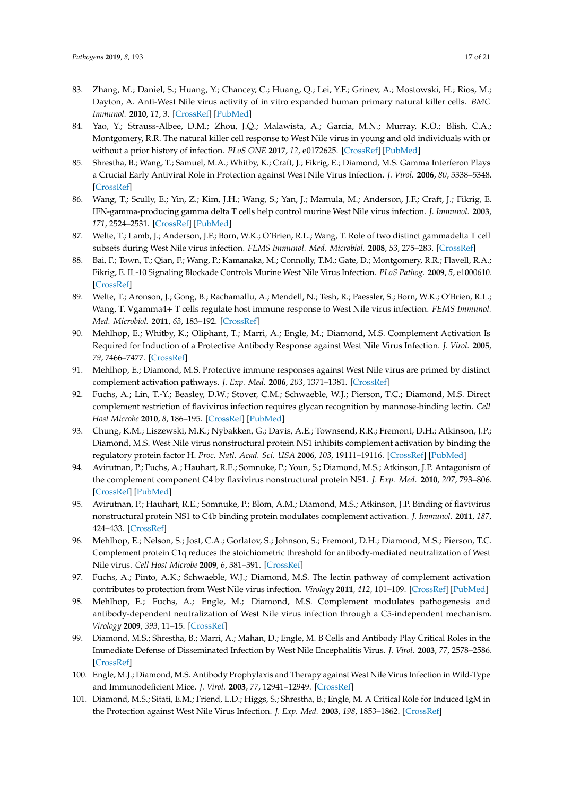- <span id="page-17-0"></span>83. Zhang, M.; Daniel, S.; Huang, Y.; Chancey, C.; Huang, Q.; Lei, Y.F.; Grinev, A.; Mostowski, H.; Rios, M.; Dayton, A. Anti-West Nile virus activity of in vitro expanded human primary natural killer cells. *BMC Immunol.* **2010**, *11*, 3. [\[CrossRef\]](http://dx.doi.org/10.1186/1471-2172-11-3) [\[PubMed\]](http://www.ncbi.nlm.nih.gov/pubmed/20089143)
- <span id="page-17-1"></span>84. Yao, Y.; Strauss-Albee, D.M.; Zhou, J.Q.; Malawista, A.; Garcia, M.N.; Murray, K.O.; Blish, C.A.; Montgomery, R.R. The natural killer cell response to West Nile virus in young and old individuals with or without a prior history of infection. *PLoS ONE* **2017**, *12*, e0172625. [\[CrossRef\]](http://dx.doi.org/10.1371/journal.pone.0172625) [\[PubMed\]](http://www.ncbi.nlm.nih.gov/pubmed/28235099)
- <span id="page-17-2"></span>85. Shrestha, B.; Wang, T.; Samuel, M.A.; Whitby, K.; Craft, J.; Fikrig, E.; Diamond, M.S. Gamma Interferon Plays a Crucial Early Antiviral Role in Protection against West Nile Virus Infection. *J. Virol.* **2006**, *80*, 5338–5348. [\[CrossRef\]](http://dx.doi.org/10.1128/JVI.00274-06)
- <span id="page-17-4"></span>86. Wang, T.; Scully, E.; Yin, Z.; Kim, J.H.; Wang, S.; Yan, J.; Mamula, M.; Anderson, J.F.; Craft, J.; Fikrig, E. IFN-gamma-producing gamma delta T cells help control murine West Nile virus infection. *J. Immunol.* **2003**, *171*, 2524–2531. [\[CrossRef\]](http://dx.doi.org/10.4049/jimmunol.171.5.2524) [\[PubMed\]](http://www.ncbi.nlm.nih.gov/pubmed/12928402)
- <span id="page-17-3"></span>87. Welte, T.; Lamb, J.; Anderson, J.F.; Born, W.K.; O'Brien, R.L.; Wang, T. Role of two distinct gammadelta T cell subsets during West Nile virus infection. *FEMS Immunol. Med. Microbiol.* **2008**, *53*, 275–283. [\[CrossRef\]](http://dx.doi.org/10.1111/j.1574-695X.2008.00430.x)
- <span id="page-17-5"></span>88. Bai, F.; Town, T.; Qian, F.; Wang, P.; Kamanaka, M.; Connolly, T.M.; Gate, D.; Montgomery, R.R.; Flavell, R.A.; Fikrig, E. IL-10 Signaling Blockade Controls Murine West Nile Virus Infection. *PLoS Pathog.* **2009**, *5*, e1000610. [\[CrossRef\]](http://dx.doi.org/10.1371/journal.ppat.1000610)
- <span id="page-17-6"></span>89. Welte, T.; Aronson, J.; Gong, B.; Rachamallu, A.; Mendell, N.; Tesh, R.; Paessler, S.; Born, W.K.; O'Brien, R.L.; Wang, T. Vgamma4+ T cells regulate host immune response to West Nile virus infection. *FEMS Immunol. Med. Microbiol.* **2011**, *63*, 183–192. [\[CrossRef\]](http://dx.doi.org/10.1111/j.1574-695X.2011.00840.x)
- <span id="page-17-7"></span>90. Mehlhop, E.; Whitby, K.; Oliphant, T.; Marri, A.; Engle, M.; Diamond, M.S. Complement Activation Is Required for Induction of a Protective Antibody Response against West Nile Virus Infection. *J. Virol.* **2005**, *79*, 7466–7477. [\[CrossRef\]](http://dx.doi.org/10.1128/JVI.79.12.7466-7477.2005)
- <span id="page-17-8"></span>91. Mehlhop, E.; Diamond, M.S. Protective immune responses against West Nile virus are primed by distinct complement activation pathways. *J. Exp. Med.* **2006**, *203*, 1371–1381. [\[CrossRef\]](http://dx.doi.org/10.1084/jem.20052388)
- <span id="page-17-9"></span>92. Fuchs, A.; Lin, T.-Y.; Beasley, D.W.; Stover, C.M.; Schwaeble, W.J.; Pierson, T.C.; Diamond, M.S. Direct complement restriction of flavivirus infection requires glycan recognition by mannose-binding lectin. *Cell Host Microbe* **2010**, *8*, 186–195. [\[CrossRef\]](http://dx.doi.org/10.1016/j.chom.2010.07.007) [\[PubMed\]](http://www.ncbi.nlm.nih.gov/pubmed/20709295)
- <span id="page-17-10"></span>93. Chung, K.M.; Liszewski, M.K.; Nybakken, G.; Davis, A.E.; Townsend, R.R.; Fremont, D.H.; Atkinson, J.P.; Diamond, M.S. West Nile virus nonstructural protein NS1 inhibits complement activation by binding the regulatory protein factor H. *Proc. Natl. Acad. Sci. USA* **2006**, *103*, 19111–19116. [\[CrossRef\]](http://dx.doi.org/10.1073/pnas.0605668103) [\[PubMed\]](http://www.ncbi.nlm.nih.gov/pubmed/17132743)
- <span id="page-17-11"></span>94. Avirutnan, P.; Fuchs, A.; Hauhart, R.E.; Somnuke, P.; Youn, S.; Diamond, M.S.; Atkinson, J.P. Antagonism of the complement component C4 by flavivirus nonstructural protein NS1. *J. Exp. Med.* **2010**, *207*, 793–806. [\[CrossRef\]](http://dx.doi.org/10.1084/jem.20092545) [\[PubMed\]](http://www.ncbi.nlm.nih.gov/pubmed/20308361)
- <span id="page-17-12"></span>95. Avirutnan, P.; Hauhart, R.E.; Somnuke, P.; Blom, A.M.; Diamond, M.S.; Atkinson, J.P. Binding of flavivirus nonstructural protein NS1 to C4b binding protein modulates complement activation. *J. Immunol.* **2011**, *187*, 424–433. [\[CrossRef\]](http://dx.doi.org/10.4049/jimmunol.1100750)
- <span id="page-17-13"></span>96. Mehlhop, E.; Nelson, S.; Jost, C.A.; Gorlatov, S.; Johnson, S.; Fremont, D.H.; Diamond, M.S.; Pierson, T.C. Complement protein C1q reduces the stoichiometric threshold for antibody-mediated neutralization of West Nile virus. *Cell Host Microbe* **2009**, *6*, 381–391. [\[CrossRef\]](http://dx.doi.org/10.1016/j.chom.2009.09.003)
- <span id="page-17-14"></span>97. Fuchs, A.; Pinto, A.K.; Schwaeble, W.J.; Diamond, M.S. The lectin pathway of complement activation contributes to protection from West Nile virus infection. *Virology* **2011**, *412*, 101–109. [\[CrossRef\]](http://dx.doi.org/10.1016/j.virol.2011.01.003) [\[PubMed\]](http://www.ncbi.nlm.nih.gov/pubmed/21269656)
- <span id="page-17-15"></span>98. Mehlhop, E.; Fuchs, A.; Engle, M.; Diamond, M.S. Complement modulates pathogenesis and antibody-dependent neutralization of West Nile virus infection through a C5-independent mechanism. *Virology* **2009**, *393*, 11–15. [\[CrossRef\]](http://dx.doi.org/10.1016/j.virol.2009.08.019)
- <span id="page-17-16"></span>99. Diamond, M.S.; Shrestha, B.; Marri, A.; Mahan, D.; Engle, M. B Cells and Antibody Play Critical Roles in the Immediate Defense of Disseminated Infection by West Nile Encephalitis Virus. *J. Virol.* **2003**, *77*, 2578–2586. [\[CrossRef\]](http://dx.doi.org/10.1128/JVI.77.4.2578-2586.2003)
- <span id="page-17-17"></span>100. Engle, M.J.; Diamond, M.S. Antibody Prophylaxis and Therapy against West Nile Virus Infection in Wild-Type and Immunodeficient Mice. *J. Virol.* **2003**, *77*, 12941–12949. [\[CrossRef\]](http://dx.doi.org/10.1128/JVI.77.24.12941-12949.2003)
- <span id="page-17-18"></span>101. Diamond, M.S.; Sitati, E.M.; Friend, L.D.; Higgs, S.; Shrestha, B.; Engle, M. A Critical Role for Induced IgM in the Protection against West Nile Virus Infection. *J. Exp. Med.* **2003**, *198*, 1853–1862. [\[CrossRef\]](http://dx.doi.org/10.1084/jem.20031223)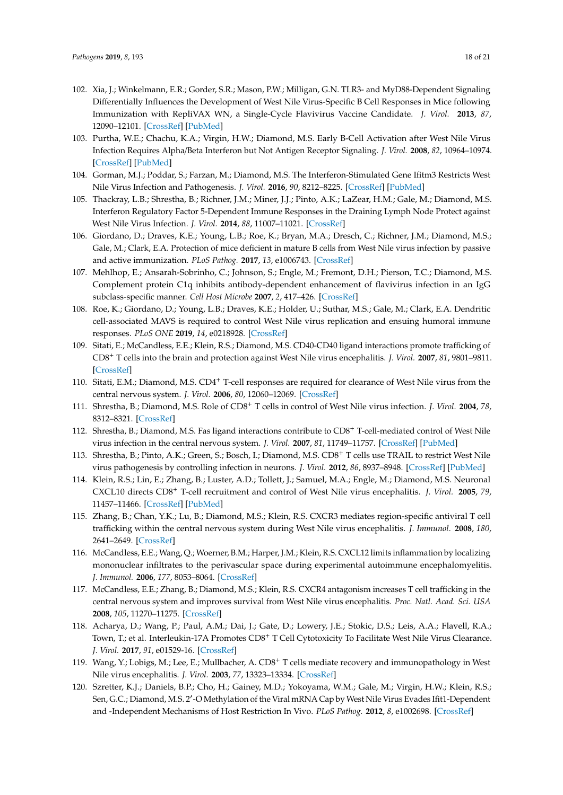- <span id="page-18-0"></span>102. Xia, J.; Winkelmann, E.R.; Gorder, S.R.; Mason, P.W.; Milligan, G.N. TLR3- and MyD88-Dependent Signaling Differentially Influences the Development of West Nile Virus-Specific B Cell Responses in Mice following Immunization with RepliVAX WN, a Single-Cycle Flavivirus Vaccine Candidate. *J. Virol.* **2013**, *87*, 12090–12101. [\[CrossRef\]](http://dx.doi.org/10.1128/JVI.01469-13) [\[PubMed\]](http://www.ncbi.nlm.nih.gov/pubmed/23986602)
- <span id="page-18-1"></span>103. Purtha, W.E.; Chachu, K.A.; Virgin, H.W.; Diamond, M.S. Early B-Cell Activation after West Nile Virus Infection Requires Alpha/Beta Interferon but Not Antigen Receptor Signaling. *J. Virol.* **2008**, *82*, 10964–10974. [\[CrossRef\]](http://dx.doi.org/10.1128/JVI.01646-08) [\[PubMed\]](http://www.ncbi.nlm.nih.gov/pubmed/18786989)
- <span id="page-18-2"></span>104. Gorman, M.J.; Poddar, S.; Farzan, M.; Diamond, M.S. The Interferon-Stimulated Gene Ifitm3 Restricts West Nile Virus Infection and Pathogenesis. *J. Virol.* **2016**, *90*, 8212–8225. [\[CrossRef\]](http://dx.doi.org/10.1128/JVI.00581-16) [\[PubMed\]](http://www.ncbi.nlm.nih.gov/pubmed/27384652)
- <span id="page-18-3"></span>105. Thackray, L.B.; Shrestha, B.; Richner, J.M.; Miner, J.J.; Pinto, A.K.; LaZear, H.M.; Gale, M.; Diamond, M.S. Interferon Regulatory Factor 5-Dependent Immune Responses in the Draining Lymph Node Protect against West Nile Virus Infection. *J. Virol.* **2014**, *88*, 11007–11021. [\[CrossRef\]](http://dx.doi.org/10.1128/JVI.01545-14)
- <span id="page-18-4"></span>106. Giordano, D.; Draves, K.E.; Young, L.B.; Roe, K.; Bryan, M.A.; Dresch, C.; Richner, J.M.; Diamond, M.S.; Gale, M.; Clark, E.A. Protection of mice deficient in mature B cells from West Nile virus infection by passive and active immunization. *PLoS Pathog.* **2017**, *13*, e1006743. [\[CrossRef\]](http://dx.doi.org/10.1371/journal.ppat.1006743)
- 107. Mehlhop, E.; Ansarah-Sobrinho, C.; Johnson, S.; Engle, M.; Fremont, D.H.; Pierson, T.C.; Diamond, M.S. Complement protein C1q inhibits antibody-dependent enhancement of flavivirus infection in an IgG subclass-specific manner. *Cell Host Microbe* **2007**, *2*, 417–426. [\[CrossRef\]](http://dx.doi.org/10.1016/j.chom.2007.09.015)
- 108. Roe, K.; Giordano, D.; Young, L.B.; Draves, K.E.; Holder, U.; Suthar, M.S.; Gale, M.; Clark, E.A. Dendritic cell-associated MAVS is required to control West Nile virus replication and ensuing humoral immune responses. *PLoS ONE* **2019**, *14*, e0218928. [\[CrossRef\]](http://dx.doi.org/10.1371/journal.pone.0218928)
- 109. Sitati, E.; McCandless, E.E.; Klein, R.S.; Diamond, M.S. CD40-CD40 ligand interactions promote trafficking of CD8<sup>+</sup> T cells into the brain and protection against West Nile virus encephalitis. *J. Virol.* **2007**, *81*, 9801–9811. [\[CrossRef\]](http://dx.doi.org/10.1128/JVI.00941-07)
- <span id="page-18-5"></span>110. Sitati, E.M.; Diamond, M.S. CD4<sup>+</sup> T-cell responses are required for clearance of West Nile virus from the central nervous system. *J. Virol.* **2006**, *80*, 12060–12069. [\[CrossRef\]](http://dx.doi.org/10.1128/JVI.01650-06)
- <span id="page-18-6"></span>111. Shrestha, B.; Diamond, M.S. Role of CD8<sup>+</sup> T cells in control of West Nile virus infection. *J. Virol.* **2004**, *78*, 8312–8321. [\[CrossRef\]](http://dx.doi.org/10.1128/JVI.78.15.8312-8321.2004)
- <span id="page-18-7"></span>112. Shrestha, B.; Diamond, M.S. Fas ligand interactions contribute to CD8<sup>+</sup> T-cell-mediated control of West Nile virus infection in the central nervous system. *J. Virol.* **2007**, *81*, 11749–11757. [\[CrossRef\]](http://dx.doi.org/10.1128/JVI.01136-07) [\[PubMed\]](http://www.ncbi.nlm.nih.gov/pubmed/17804505)
- <span id="page-18-8"></span>113. Shrestha, B.; Pinto, A.K.; Green, S.; Bosch, I.; Diamond, M.S. CD8<sup>+</sup> T cells use TRAIL to restrict West Nile virus pathogenesis by controlling infection in neurons. *J. Virol.* **2012**, *86*, 8937–8948. [\[CrossRef\]](http://dx.doi.org/10.1128/JVI.00673-12) [\[PubMed\]](http://www.ncbi.nlm.nih.gov/pubmed/22740407)
- <span id="page-18-9"></span>114. Klein, R.S.; Lin, E.; Zhang, B.; Luster, A.D.; Tollett, J.; Samuel, M.A.; Engle, M.; Diamond, M.S. Neuronal CXCL10 directs CD8<sup>+</sup> T-cell recruitment and control of West Nile virus encephalitis. *J. Virol.* **2005**, *79*, 11457–11466. [\[CrossRef\]](http://dx.doi.org/10.1128/JVI.79.17.11457-11466.2005) [\[PubMed\]](http://www.ncbi.nlm.nih.gov/pubmed/16103196)
- <span id="page-18-10"></span>115. Zhang, B.; Chan, Y.K.; Lu, B.; Diamond, M.S.; Klein, R.S. CXCR3 mediates region-specific antiviral T cell trafficking within the central nervous system during West Nile virus encephalitis. *J. Immunol.* **2008**, *180*, 2641–2649. [\[CrossRef\]](http://dx.doi.org/10.4049/jimmunol.180.4.2641)
- <span id="page-18-11"></span>116. McCandless, E.E.; Wang, Q.; Woerner, B.M.; Harper, J.M.; Klein, R.S. CXCL12 limits inflammation by localizing mononuclear infiltrates to the perivascular space during experimental autoimmune encephalomyelitis. *J. Immunol.* **2006**, *177*, 8053–8064. [\[CrossRef\]](http://dx.doi.org/10.4049/jimmunol.177.11.8053)
- <span id="page-18-12"></span>117. McCandless, E.E.; Zhang, B.; Diamond, M.S.; Klein, R.S. CXCR4 antagonism increases T cell trafficking in the central nervous system and improves survival from West Nile virus encephalitis. *Proc. Natl. Acad. Sci. USA* **2008**, *105*, 11270–11275. [\[CrossRef\]](http://dx.doi.org/10.1073/pnas.0800898105)
- <span id="page-18-13"></span>118. Acharya, D.; Wang, P.; Paul, A.M.; Dai, J.; Gate, D.; Lowery, J.E.; Stokic, D.S.; Leis, A.A.; Flavell, R.A.; Town, T.; et al. Interleukin-17A Promotes CD8<sup>+</sup> T Cell Cytotoxicity To Facilitate West Nile Virus Clearance. *J. Virol.* **2017**, *91*, e01529-16. [\[CrossRef\]](http://dx.doi.org/10.1128/JVI.01529-16)
- <span id="page-18-14"></span>119. Wang, Y.; Lobigs, M.; Lee, E.; Mullbacher, A. CD8<sup>+</sup> T cells mediate recovery and immunopathology in West Nile virus encephalitis. *J. Virol.* **2003**, *77*, 13323–13334. [\[CrossRef\]](http://dx.doi.org/10.1128/JVI.77.24.13323-13334.2003)
- <span id="page-18-15"></span>120. Szretter, K.J.; Daniels, B.P.; Cho, H.; Gainey, M.D.; Yokoyama, W.M.; Gale, M.; Virgin, H.W.; Klein, R.S.; Sen, G.C.; Diamond, M.S. 2'-O Methylation of the Viral mRNA Cap by West Nile Virus Evades Ifit1-Dependent and -Independent Mechanisms of Host Restriction In Vivo. *PLoS Pathog.* **2012**, *8*, e1002698. [\[CrossRef\]](http://dx.doi.org/10.1371/journal.ppat.1002698)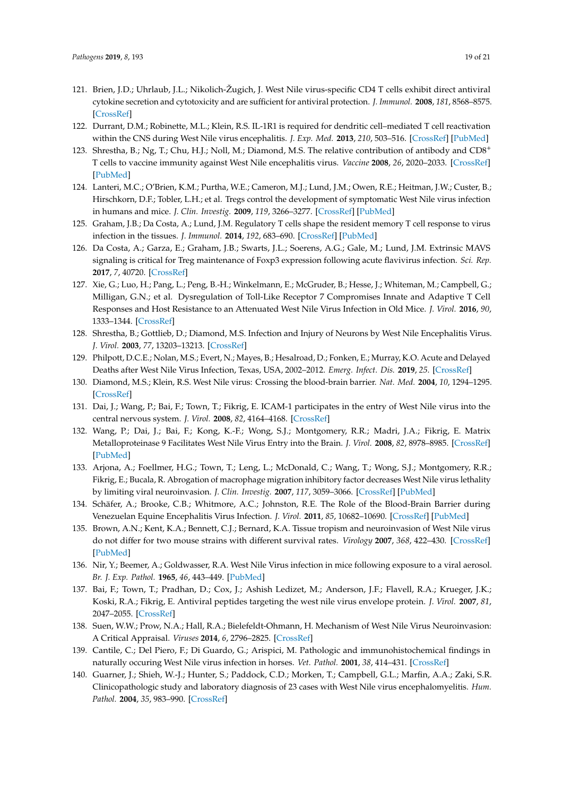- <span id="page-19-0"></span>121. Brien, J.D.; Uhrlaub, J.L.; Nikolich-Žugich, J. West Nile virus-specific CD4 T cells exhibit direct antiviral cytokine secretion and cytotoxicity and are sufficient for antiviral protection. *J. Immunol.* **2008**, *181*, 8568–8575. [\[CrossRef\]](http://dx.doi.org/10.4049/jimmunol.181.12.8568)
- 122. Durrant, D.M.; Robinette, M.L.; Klein, R.S. IL-1R1 is required for dendritic cell–mediated T cell reactivation within the CNS during West Nile virus encephalitis. *J. Exp. Med.* **2013**, *210*, 503–516. [\[CrossRef\]](http://dx.doi.org/10.1084/jem.20121897) [\[PubMed\]](http://www.ncbi.nlm.nih.gov/pubmed/23460727)
- <span id="page-19-1"></span>123. Shrestha, B.; Ng, T.; Chu, H.J.; Noll, M.; Diamond, M.S. The relative contribution of antibody and CD8<sup>+</sup> T cells to vaccine immunity against West Nile encephalitis virus. *Vaccine* **2008**, *26*, 2020–2033. [\[CrossRef\]](http://dx.doi.org/10.1016/j.vaccine.2008.02.009) [\[PubMed\]](http://www.ncbi.nlm.nih.gov/pubmed/18339459)
- <span id="page-19-2"></span>124. Lanteri, M.C.; O'Brien, K.M.; Purtha, W.E.; Cameron, M.J.; Lund, J.M.; Owen, R.E.; Heitman, J.W.; Custer, B.; Hirschkorn, D.F.; Tobler, L.H.; et al. Tregs control the development of symptomatic West Nile virus infection in humans and mice. *J. Clin. Investig.* **2009**, *119*, 3266–3277. [\[CrossRef\]](http://dx.doi.org/10.1172/JCI39387) [\[PubMed\]](http://www.ncbi.nlm.nih.gov/pubmed/19855131)
- <span id="page-19-3"></span>125. Graham, J.B.; Da Costa, A.; Lund, J.M. Regulatory T cells shape the resident memory T cell response to virus infection in the tissues. *J. Immunol.* **2014**, *192*, 683–690. [\[CrossRef\]](http://dx.doi.org/10.4049/jimmunol.1202153) [\[PubMed\]](http://www.ncbi.nlm.nih.gov/pubmed/24337378)
- <span id="page-19-4"></span>126. Da Costa, A.; Garza, E.; Graham, J.B.; Swarts, J.L.; Soerens, A.G.; Gale, M.; Lund, J.M. Extrinsic MAVS signaling is critical for Treg maintenance of Foxp3 expression following acute flavivirus infection. *Sci. Rep.* **2017**, *7*, 40720. [\[CrossRef\]](http://dx.doi.org/10.1038/srep40720)
- <span id="page-19-5"></span>127. Xie, G.; Luo, H.; Pang, L.; Peng, B.-H.; Winkelmann, E.; McGruder, B.; Hesse, J.; Whiteman, M.; Campbell, G.; Milligan, G.N.; et al. Dysregulation of Toll-Like Receptor 7 Compromises Innate and Adaptive T Cell Responses and Host Resistance to an Attenuated West Nile Virus Infection in Old Mice. *J. Virol.* **2016**, *90*, 1333–1344. [\[CrossRef\]](http://dx.doi.org/10.1128/JVI.02488-15)
- <span id="page-19-6"></span>128. Shrestha, B.; Gottlieb, D.; Diamond, M.S. Infection and Injury of Neurons by West Nile Encephalitis Virus. *J. Virol.* **2003**, *77*, 13203–13213. [\[CrossRef\]](http://dx.doi.org/10.1128/JVI.77.24.13203-13213.2003)
- <span id="page-19-7"></span>129. Philpott, D.C.E.; Nolan, M.S.; Evert, N.; Mayes, B.; Hesalroad, D.; Fonken, E.; Murray, K.O. Acute and Delayed Deaths after West Nile Virus Infection, Texas, USA, 2002–2012. *Emerg. Infect. Dis.* **2019**, *25*. [\[CrossRef\]](http://dx.doi.org/10.3201/eid2502.181250)
- <span id="page-19-8"></span>130. Diamond, M.S.; Klein, R.S. West Nile virus: Crossing the blood-brain barrier. *Nat. Med.* **2004**, *10*, 1294–1295. [\[CrossRef\]](http://dx.doi.org/10.1038/nm1204-1294)
- <span id="page-19-9"></span>131. Dai, J.; Wang, P.; Bai, F.; Town, T.; Fikrig, E. ICAM-1 participates in the entry of West Nile virus into the central nervous system. *J. Virol.* **2008**, *82*, 4164–4168. [\[CrossRef\]](http://dx.doi.org/10.1128/JVI.02621-07)
- <span id="page-19-10"></span>132. Wang, P.; Dai, J.; Bai, F.; Kong, K.-F.; Wong, S.J.; Montgomery, R.R.; Madri, J.A.; Fikrig, E. Matrix Metalloproteinase 9 Facilitates West Nile Virus Entry into the Brain. *J. Virol.* **2008**, *82*, 8978–8985. [\[CrossRef\]](http://dx.doi.org/10.1128/JVI.00314-08) [\[PubMed\]](http://www.ncbi.nlm.nih.gov/pubmed/18632868)
- <span id="page-19-11"></span>133. Arjona, A.; Foellmer, H.G.; Town, T.; Leng, L.; McDonald, C.; Wang, T.; Wong, S.J.; Montgomery, R.R.; Fikrig, E.; Bucala, R. Abrogation of macrophage migration inhibitory factor decreases West Nile virus lethality by limiting viral neuroinvasion. *J. Clin. Investig.* **2007**, *117*, 3059–3066. [\[CrossRef\]](http://dx.doi.org/10.1172/JCI32218) [\[PubMed\]](http://www.ncbi.nlm.nih.gov/pubmed/17909632)
- <span id="page-19-12"></span>134. Schäfer, A.; Brooke, C.B.; Whitmore, A.C.; Johnston, R.E. The Role of the Blood-Brain Barrier during Venezuelan Equine Encephalitis Virus Infection. *J. Virol.* **2011**, *85*, 10682–10690. [\[CrossRef\]](http://dx.doi.org/10.1128/JVI.05032-11) [\[PubMed\]](http://www.ncbi.nlm.nih.gov/pubmed/21849461)
- <span id="page-19-13"></span>135. Brown, A.N.; Kent, K.A.; Bennett, C.J.; Bernard, K.A. Tissue tropism and neuroinvasion of West Nile virus do not differ for two mouse strains with different survival rates. *Virology* **2007**, *368*, 422–430. [\[CrossRef\]](http://dx.doi.org/10.1016/j.virol.2007.06.033) [\[PubMed\]](http://www.ncbi.nlm.nih.gov/pubmed/17675128)
- <span id="page-19-14"></span>136. Nir, Y.; Beemer, A.; Goldwasser, R.A. West Nile Virus infection in mice following exposure to a viral aerosol. *Br. J. Exp. Pathol.* **1965**, *46*, 443–449. [\[PubMed\]](http://www.ncbi.nlm.nih.gov/pubmed/5317964)
- <span id="page-19-15"></span>137. Bai, F.; Town, T.; Pradhan, D.; Cox, J.; Ashish Ledizet, M.; Anderson, J.F.; Flavell, R.A.; Krueger, J.K.; Koski, R.A.; Fikrig, E. Antiviral peptides targeting the west nile virus envelope protein. *J. Virol.* **2007**, *81*, 2047–2055. [\[CrossRef\]](http://dx.doi.org/10.1128/JVI.01840-06)
- <span id="page-19-16"></span>138. Suen, W.W.; Prow, N.A.; Hall, R.A.; Bielefeldt-Ohmann, H. Mechanism of West Nile Virus Neuroinvasion: A Critical Appraisal. *Viruses* **2014**, *6*, 2796–2825. [\[CrossRef\]](http://dx.doi.org/10.3390/v6072796)
- <span id="page-19-18"></span>139. Cantile, C.; Del Piero, F.; Di Guardo, G.; Arispici, M. Pathologic and immunohistochemical findings in naturally occuring West Nile virus infection in horses. *Vet. Pathol.* **2001**, *38*, 414–431. [\[CrossRef\]](http://dx.doi.org/10.1354/vp.38-4-414)
- <span id="page-19-17"></span>140. Guarner, J.; Shieh, W.-J.; Hunter, S.; Paddock, C.D.; Morken, T.; Campbell, G.L.; Marfin, A.A.; Zaki, S.R. Clinicopathologic study and laboratory diagnosis of 23 cases with West Nile virus encephalomyelitis. *Hum. Pathol.* **2004**, *35*, 983–990. [\[CrossRef\]](http://dx.doi.org/10.1016/j.humpath.2004.04.008)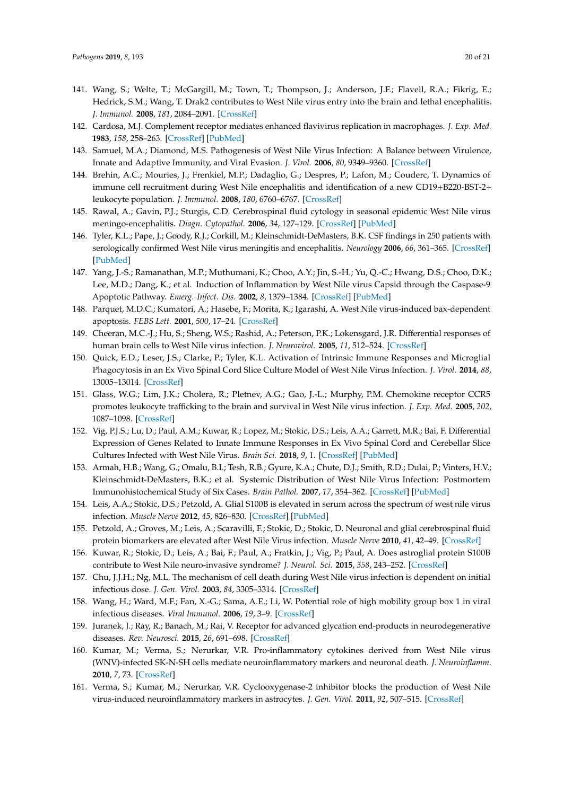- <span id="page-20-0"></span>141. Wang, S.; Welte, T.; McGargill, M.; Town, T.; Thompson, J.; Anderson, J.F.; Flavell, R.A.; Fikrig, E.; Hedrick, S.M.; Wang, T. Drak2 contributes to West Nile virus entry into the brain and lethal encephalitis. *J. Immunol.* **2008**, *181*, 2084–2091. [\[CrossRef\]](http://dx.doi.org/10.4049/jimmunol.181.3.2084)
- 142. Cardosa, M.J. Complement receptor mediates enhanced flavivirus replication in macrophages. *J. Exp. Med.* **1983**, *158*, 258–263. [\[CrossRef\]](http://dx.doi.org/10.1084/jem.158.1.258) [\[PubMed\]](http://www.ncbi.nlm.nih.gov/pubmed/6864163)
- <span id="page-20-1"></span>143. Samuel, M.A.; Diamond, M.S. Pathogenesis of West Nile Virus Infection: A Balance between Virulence, Innate and Adaptive Immunity, and Viral Evasion. *J. Virol.* **2006**, *80*, 9349–9360. [\[CrossRef\]](http://dx.doi.org/10.1128/JVI.01122-06)
- <span id="page-20-2"></span>144. Brehin, A.C.; Mouries, J.; Frenkiel, M.P.; Dadaglio, G.; Despres, P.; Lafon, M.; Couderc, T. Dynamics of immune cell recruitment during West Nile encephalitis and identification of a new CD19+B220-BST-2+ leukocyte population. *J. Immunol.* **2008**, *180*, 6760–6767. [\[CrossRef\]](http://dx.doi.org/10.4049/jimmunol.180.10.6760)
- <span id="page-20-3"></span>145. Rawal, A.; Gavin, P.J.; Sturgis, C.D. Cerebrospinal fluid cytology in seasonal epidemic West Nile virus meningo-encephalitis. *Diagn. Cytopathol.* **2006**, *34*, 127–129. [\[CrossRef\]](http://dx.doi.org/10.1002/dc.20410) [\[PubMed\]](http://www.ncbi.nlm.nih.gov/pubmed/16511849)
- <span id="page-20-4"></span>146. Tyler, K.L.; Pape, J.; Goody, R.J.; Corkill, M.; Kleinschmidt-DeMasters, B.K. CSF findings in 250 patients with serologically confirmed West Nile virus meningitis and encephalitis. *Neurology* **2006**, *66*, 361–365. [\[CrossRef\]](http://dx.doi.org/10.1212/01.wnl.0000195890.70898.1f) [\[PubMed\]](http://www.ncbi.nlm.nih.gov/pubmed/16382032)
- <span id="page-20-5"></span>147. Yang, J.-S.; Ramanathan, M.P.; Muthumani, K.; Choo, A.Y.; Jin, S.-H.; Yu, Q.-C.; Hwang, D.S.; Choo, D.K.; Lee, M.D.; Dang, K.; et al. Induction of Inflammation by West Nile virus Capsid through the Caspase-9 Apoptotic Pathway. *Emerg. Infect. Dis.* **2002**, *8*, 1379–1384. [\[CrossRef\]](http://dx.doi.org/10.3201/eid0812.020224) [\[PubMed\]](http://www.ncbi.nlm.nih.gov/pubmed/12498651)
- <span id="page-20-6"></span>148. Parquet, M.D.C.; Kumatori, A.; Hasebe, F.; Morita, K.; Igarashi, A. West Nile virus-induced bax-dependent apoptosis. *FEBS Lett.* **2001**, *500*, 17–24. [\[CrossRef\]](http://dx.doi.org/10.1016/S0014-5793(01)02573-X)
- <span id="page-20-7"></span>149. Cheeran, M.C.-J.; Hu, S.; Sheng, W.S.; Rashid, A.; Peterson, P.K.; Lokensgard, J.R. Differential responses of human brain cells to West Nile virus infection. *J. Neurovirol.* **2005**, *11*, 512–524. [\[CrossRef\]](http://dx.doi.org/10.1080/13550280500384982)
- <span id="page-20-8"></span>150. Quick, E.D.; Leser, J.S.; Clarke, P.; Tyler, K.L. Activation of Intrinsic Immune Responses and Microglial Phagocytosis in an Ex Vivo Spinal Cord Slice Culture Model of West Nile Virus Infection. *J. Virol.* **2014**, *88*, 13005–13014. [\[CrossRef\]](http://dx.doi.org/10.1128/JVI.01994-14)
- <span id="page-20-9"></span>151. Glass, W.G.; Lim, J.K.; Cholera, R.; Pletnev, A.G.; Gao, J.-L.; Murphy, P.M. Chemokine receptor CCR5 promotes leukocyte trafficking to the brain and survival in West Nile virus infection. *J. Exp. Med.* **2005**, *202*, 1087–1098. [\[CrossRef\]](http://dx.doi.org/10.1084/jem.20042530)
- <span id="page-20-10"></span>152. Vig, P.J.S.; Lu, D.; Paul, A.M.; Kuwar, R.; Lopez, M.; Stokic, D.S.; Leis, A.A.; Garrett, M.R.; Bai, F. Differential Expression of Genes Related to Innate Immune Responses in Ex Vivo Spinal Cord and Cerebellar Slice Cultures Infected with West Nile Virus. *Brain Sci.* **2018**, *9*, 1. [\[CrossRef\]](http://dx.doi.org/10.3390/brainsci9010001) [\[PubMed\]](http://www.ncbi.nlm.nih.gov/pubmed/30586874)
- <span id="page-20-11"></span>153. Armah, H.B.; Wang, G.; Omalu, B.I.; Tesh, R.B.; Gyure, K.A.; Chute, D.J.; Smith, R.D.; Dulai, P.; Vinters, H.V.; Kleinschmidt-DeMasters, B.K.; et al. Systemic Distribution of West Nile Virus Infection: Postmortem Immunohistochemical Study of Six Cases. *Brain Pathol.* **2007**, *17*, 354–362. [\[CrossRef\]](http://dx.doi.org/10.1111/j.1750-3639.2007.00080.x) [\[PubMed\]](http://www.ncbi.nlm.nih.gov/pubmed/17610522)
- <span id="page-20-12"></span>154. Leis, A.A.; Stokic, D.S.; Petzold, A. Glial S100B is elevated in serum across the spectrum of west nile virus infection. *Muscle Nerve* **2012**, *45*, 826–830. [\[CrossRef\]](http://dx.doi.org/10.1002/mus.23241) [\[PubMed\]](http://www.ncbi.nlm.nih.gov/pubmed/22581535)
- <span id="page-20-13"></span>155. Petzold, A.; Groves, M.; Leis, A.; Scaravilli, F.; Stokic, D.; Stokic, D. Neuronal and glial cerebrospinal fluid protein biomarkers are elevated after West Nile Virus infection. *Muscle Nerve* **2010**, *41*, 42–49. [\[CrossRef\]](http://dx.doi.org/10.1002/mus.21448)
- <span id="page-20-14"></span>156. Kuwar, R.; Stokic, D.; Leis, A.; Bai, F.; Paul, A.; Fratkin, J.; Vig, P.; Paul, A. Does astroglial protein S100B contribute to West Nile neuro-invasive syndrome? *J. Neurol. Sci.* **2015**, *358*, 243–252. [\[CrossRef\]](http://dx.doi.org/10.1016/j.jns.2015.09.003)
- <span id="page-20-15"></span>157. Chu, J.J.H.; Ng, M.L. The mechanism of cell death during West Nile virus infection is dependent on initial infectious dose. *J. Gen. Virol.* **2003**, *84*, 3305–3314. [\[CrossRef\]](http://dx.doi.org/10.1099/vir.0.19447-0)
- <span id="page-20-16"></span>158. Wang, H.; Ward, M.F.; Fan, X.-G.; Sama, A.E.; Li, W. Potential role of high mobility group box 1 in viral infectious diseases. *Viral Immunol.* **2006**, *19*, 3–9. [\[CrossRef\]](http://dx.doi.org/10.1089/vim.2006.19.3)
- <span id="page-20-17"></span>159. Juranek, J.; Ray, R.; Banach, M.; Rai, V. Receptor for advanced glycation end-products in neurodegenerative diseases. *Rev. Neurosci.* **2015**, *26*, 691–698. [\[CrossRef\]](http://dx.doi.org/10.1515/revneuro-2015-0003)
- <span id="page-20-19"></span>160. Kumar, M.; Verma, S.; Nerurkar, V.R. Pro-inflammatory cytokines derived from West Nile virus (WNV)-infected SK-N-SH cells mediate neuroinflammatory markers and neuronal death. *J. Neuroinflamm.* **2010**, *7*, 73. [\[CrossRef\]](http://dx.doi.org/10.1186/1742-2094-7-73)
- <span id="page-20-18"></span>161. Verma, S.; Kumar, M.; Nerurkar, V.R. Cyclooxygenase-2 inhibitor blocks the production of West Nile virus-induced neuroinflammatory markers in astrocytes. *J. Gen. Virol.* **2011**, *92*, 507–515. [\[CrossRef\]](http://dx.doi.org/10.1099/vir.0.026716-0)